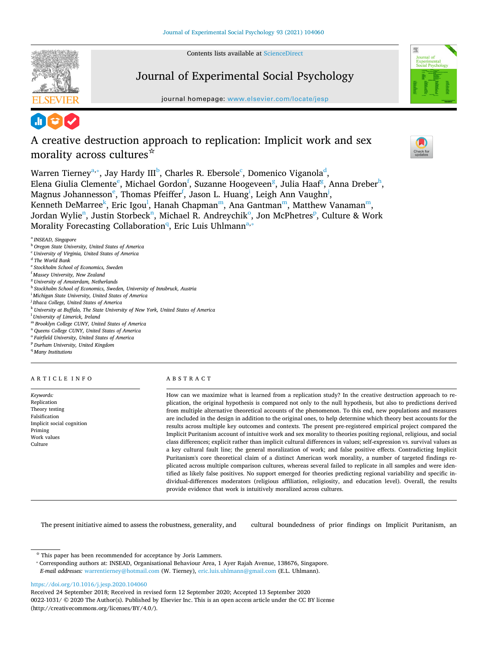Contents lists available at [ScienceDirect](http://www.sciencedirect.com/science/journal/00221031) 



# Journal of Experimental Social Psychology

journal homepage: [www.elsevier.com/locate/jesp](https://www.elsevier.com/locate/jesp)



# A creative destruction approach to replication: Implicit work and sex morality across cultures<sup>☆</sup>

W[a](#page-0-0)rren Tierney $^{\mathrm{a},*}$ , Jay Har[d](#page-0-4)y III $^{\mathrm{b}}$  $^{\mathrm{b}}$  $^{\mathrm{b}}$ , Charles R. Ebersole $^{\mathrm{c}}$  $^{\mathrm{c}}$  $^{\mathrm{c}}$ , Domenico Viganola $^{\mathrm{d}}$ ,

El[e](#page-0-5)na Giulia Clemente<sup>e</sup>, Michael Gordon<sup>[f](#page-0-6)</sup>, Suzanne Hoo[g](#page-0-7)eveen<sup>g</sup>, Julia Haaf<sup>g</sup>, Anna Dreber<sup>[h](#page-0-8)</sup>,

Magnus Johan[ne](#page-0-5)sson $\mathrm{^e_\cdot}$  Thomas P[f](#page-0-6)e[i](#page-0-9)ffer $\mathrm{^f_\cdot}$  Jason L. Huang $\mathrm{^i_\cdot}$  Leigh Ann Vaughn $\mathrm{^j_\cdot}$  $\mathrm{^j_\cdot}$  $\mathrm{^j_\cdot}$ 

Kenneth DeMarree<sup>[k](#page-0-11)</sup>, Eric Igou<sup>[l](#page-0-12)</sup>, Hanah Chap[m](#page-0-13)an<sup>m</sup>, Ana Gantman<sup>m</sup>, Matthew Vanaman<sup>m</sup>,

Jorda[n](#page-0-14) Wylie<sup>n</sup>, Justin St[o](#page-0-15)rbeck<su[p](#page-0-16)>n</sup>, Michael R. Andreychik<sup>o</sup>, Jon McPhetres<sup>p</sup>, Culture & Work Morality Forecasting Collaboration<sup>[q](#page-0-17)</sup>, Eric Luis Uhlm[a](#page-0-0)nn<sup>a,\*</sup>

<span id="page-0-0"></span><sup>a</sup>*INSEAD, Singapore* 

- <span id="page-0-2"></span><sup>b</sup>*Oregon State University, United States of America*
- <span id="page-0-3"></span><sup>c</sup>*University of Virginia, United States of America*
- <span id="page-0-4"></span><sup>d</sup>*The World Bank*
- <span id="page-0-5"></span><sup>e</sup>*Stockholm School of Economics, Sweden*
- <span id="page-0-6"></span><sup>f</sup>*Massey University, New Zealand*
- <span id="page-0-7"></span><sup>g</sup>*University of Amsterdam, Netherlands*
- <span id="page-0-8"></span><sup>h</sup>*Stockholm School of Economics, Sweden, University of Innsbruck, Austria*
- <span id="page-0-9"></span><sup>i</sup>*Michigan State University, United States of America*
- <span id="page-0-10"></span><sup>j</sup>*Ithaca College, United States of America*
- <span id="page-0-11"></span><sup>k</sup>*University at Buffalo, The State University of New York, United States of America*
- <span id="page-0-12"></span><sup>l</sup>*University of Limerick, Ireland*
- <span id="page-0-13"></span><sup>m</sup>*Brooklyn College CUNY, United States of America*
- <span id="page-0-14"></span><sup>n</sup>*Queens College CUNY, United States of America*
- <span id="page-0-15"></span><sup>o</sup>*Fairfield University, United States of America*
- <span id="page-0-16"></span><sup>p</sup>*Durham University, United Kingdom*
- <span id="page-0-17"></span><sup>q</sup>*Many Institutions*

## A R T I C L E I N F O

*Keywords:*  Replication Theory testing Falsification Implicit social cognition Priming Work values Culture

# ABSTRACT

How can we maximize what is learned from a replication study? In the creative destruction approach to replication, the original hypothesis is compared not only to the null hypothesis, but also to predictions derived from multiple alternative theoretical accounts of the phenomenon. To this end, new populations and measures are included in the design in addition to the original ones, to help determine which theory best accounts for the results across multiple key outcomes and contexts. The present pre-registered empirical project compared the Implicit Puritanism account of intuitive work and sex morality to theories positing regional, religious, and social class differences; explicit rather than implicit cultural differences in values; self-expression vs. survival values as a key cultural fault line; the general moralization of work; and false positive effects. Contradicting Implicit Puritanism's core theoretical claim of a distinct American work morality, a number of targeted findings replicated across multiple comparison cultures, whereas several failed to replicate in all samples and were identified as likely false positives. No support emerged for theories predicting regional variability and specific individual-differences moderators (religious affiliation, religiosity, and education level). Overall, the results provide evidence that work is intuitively moralized across cultures.

The present initiative aimed to assess the robustness, generality, and cultural boundedness of prior findings on Implicit Puritanism, an

*E-mail addresses:* [warrentierney@hotmail.com](mailto:warrentierney@hotmail.com) (W. Tierney), [eric.luis.uhlmann@gmail.com](mailto:eric.luis.uhlmann@gmail.com) (E.L. Uhlmann).

<https://doi.org/10.1016/j.jesp.2020.104060>

Received 24 September 2018; Received in revised form 12 September 2020; Accepted 13 September 2020 0022-1031/ © 2020 The Author(s). Published by Elsevier Inc. This is an open access article under the CC BY license (http://creativecommons.org/licenses/BY/4.0/).





 $*$  This paper has been recommended for acceptance by Joris Lammers.

<span id="page-0-1"></span><sup>⁎</sup> Corresponding authors at: INSEAD, Organisational Behaviour Area, 1 Ayer Rajah Avenue, 138676, Singapore.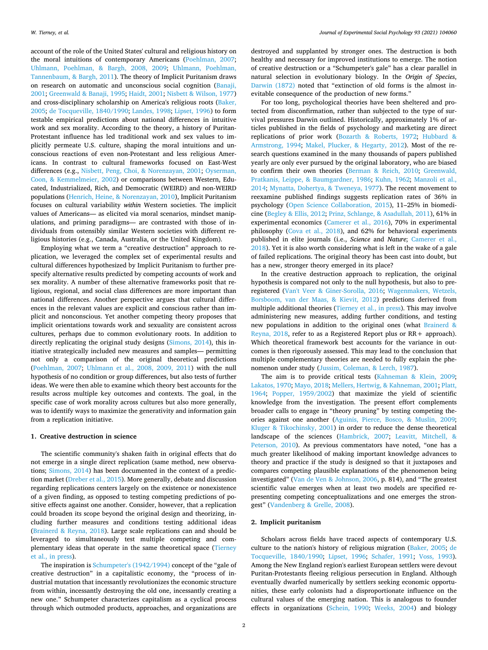account of the role of the United States' cultural and religious history on the moral intuitions of contemporary Americans ([Poehlman, 2007](#page-17-0); [Uhlmann, Poehlman, & Bargh, 2008, 2009](#page-17-1); [Uhlmann, Poehlman,](#page-17-2)  [Tannenbaum, & Bargh, 2011](#page-17-2)). The theory of Implicit Puritanism draws on research on automatic and unconscious social cognition [\(Banaji,](#page-15-0)  [2001;](#page-15-0) [Greenwald & Banaji, 1995;](#page-16-0) [Haidt, 2001](#page-16-1); [Nisbett & Wilson, 1977\)](#page-17-3) and cross-disciplinary scholarship on America's religious roots [\(Baker,](#page-15-1)  [2005;](#page-15-1) [de Tocqueville, 1840/1990;](#page-16-2) [Landes, 1998](#page-16-3); [Lipset, 1996\)](#page-16-4) to form testable empirical predictions about national differences in intuitive work and sex morality. According to the theory, a history of Puritan-Protestant influence has led traditional work and sex values to implicitly permeate U.S. culture, shaping the moral intuitions and unconscious reactions of even non-Protestant and less religious Americans. In contrast to cultural frameworks focused on East-West differences (e.g., [Nisbett, Peng, Choi, & Norenzayan, 2001;](#page-17-4) [Oyserman,](#page-17-5)  [Coon, & Kemmelmeier, 2002\)](#page-17-5) or comparisons between Western, Educated, Industrialized, Rich, and Democratic (WEIRD) and non-WEIRD populations [\(Henrich, Heine, & Norenzayan, 2010\)](#page-16-5), Implicit Puritanism focuses on cultural variability *within* Western societies. The implicit values of Americans— as elicited via moral scenarios, mindset manipulations, and priming paradigms— are contrasted with those of individuals from ostensibly similar Western societies with different religious histories (e.g., Canada, Australia, or the United Kingdom).

Employing what we term a "creative destruction" approach to replication, we leveraged the complex set of experimental results and cultural differences hypothesized by Implicit Puritanism to further prespecify alternative results predicted by competing accounts of work and sex morality. A number of these alternative frameworks posit that religious, regional, and social class differences are more important than national differences. Another perspective argues that cultural differences in the relevant values are explicit and conscious rather than implicit and nonconscious. Yet another competing theory proposes that implicit orientations towards work and sexuality are consistent across cultures, perhaps due to common evolutionary roots. In addition to directly replicating the original study designs ([Simons, 2014](#page-17-6)), this initiative strategically included new measures and samples— permitting not only a comparison of the original theoretical predictions ([Poehlman, 2007;](#page-17-0) [Uhlmann et al., 2008, 2009, 2011](#page-17-1)) with the null hypothesis of no condition or group differences, but also tests of further ideas. We were then able to examine which theory best accounts for the results across multiple key outcomes and contexts. The goal, in the specific case of work morality across cultures but also more generally, was to identify ways to maximize the generativity and information gain from a replication initiative.

# **1. Creative destruction in science**

The scientific community's shaken faith in original effects that do not emerge in a single direct replication (same method, new observations; [Simons, 2014](#page-17-6)) has been documented in the context of a prediction market [\(Dreber et al., 2015](#page-16-6)). More generally, debate and discussion regarding replications centers largely on the existence or nonexistence of a given finding, as opposed to testing competing predictions of positive effects against one another. Consider, however, that a replication could broaden its scope beyond the original design and theorizing, including further measures and conditions testing additional ideas ([Brainerd & Reyna, 2018\)](#page-15-2). Large scale replications can and should be leveraged to simultaneously test multiple competing and complementary ideas that operate in the same theoretical space ([Tierney](#page-17-7)  [et al., in press\)](#page-17-7).

The inspiration is [Schumpeter's \(1942/1994\)](#page-17-8) concept of the "gale of creative destruction" in a capitalistic economy, the "process of industrial mutation that incessantly revolutionizes the economic structure from within, incessantly destroying the old one, incessantly creating a new one." Schumpeter characterizes capitalism as a cyclical process through which outmoded products, approaches, and organizations are

destroyed and supplanted by stronger ones. The destruction is both healthy and necessary for improved institutions to emerge. The notion of creative destruction or a "Schumpeter's gale" has a clear parallel in natural selection in evolutionary biology. In the *Origin of Species*, [Darwin \(1872\)](#page-16-7) noted that "extinction of old forms is the almost inevitable consequence of the production of new forms."

For too long, psychological theories have been sheltered and protected from disconfirmation, rather than subjected to the type of survival pressures Darwin outlined. Historically, approximately 1% of articles published in the fields of psychology and marketing are direct replications of prior work ([Bozarth & Roberts, 1972;](#page-15-3) [Hubbard &](#page-16-8)  [Armstrong, 1994;](#page-16-8) [Makel, Plucker, & Hegarty, 2012\)](#page-16-9). Most of the research questions examined in the many thousands of papers published yearly are only ever pursued by the original laboratory, who are biased to confirm their own theories [\(Berman & Reich, 2010;](#page-15-4) [Greenwald,](#page-16-10)  [Pratkanis, Leippe, & Baumgardner, 1986](#page-16-10); [Kuhn, 1962](#page-16-11); [Manzoli et al.,](#page-16-12)  [2014;](#page-16-12) [Mynatta, Dohertya, & Tweneya, 1977\)](#page-17-9). The recent movement to reexamine published findings suggests replication rates of 36% in psychology [\(Open Science Collaboration, 2015\)](#page-17-10), 11–25% in biomedicine [\(Begley & Ellis, 2012](#page-15-5); [Prinz, Schlange, & Asadullah, 2011](#page-17-11)), 61% in experimental economics [\(Camerer et al., 2016\)](#page-15-6), 70% in experimental philosophy ([Cova et al., 2018\)](#page-15-7), and 62% for behavioral experiments published in elite journals (i.e., *Science* and *Nature*; [Camerer et al.,](#page-15-8)  [2018\)](#page-15-8). Yet it is also worth considering what is left in the wake of a gale of failed replications. The original theory has been cast into doubt, but has a new, stronger theory emerged in its place?

In the creative destruction approach to replication, the original hypothesis is compared not only to the null hypothesis, but also to preregistered ([Van't Veer & Giner-Sorolla, 2016;](#page-17-12) [Wagenmakers, Wetzels,](#page-17-13)  [Borsboom, van der Maas, & Kievit, 2012\)](#page-17-13) predictions derived from multiple additional theories [\(Tierney et al., in press](#page-17-7)). This may involve administering new measures, adding further conditions, and testing new populations in addition to the original ones (what [Brainerd &](#page-15-2)  [Reyna, 2018,](#page-15-2) refer to as a Registered Report plus or RR+ approach). Which theoretical framework best accounts for the variance in outcomes is then rigorously assessed. This may lead to the conclusion that multiple complementary theories are needed to fully explain the phenomenon under study [\(Jussim, Coleman, & Lerch, 1987](#page-16-13)).

The aim is to provide critical tests [\(Kahneman & Klein, 2009](#page-16-14); [Lakatos, 1970](#page-16-15); [Mayo, 2018](#page-16-16); [Mellers, Hertwig, & Kahneman, 2001;](#page-16-17) [Platt,](#page-17-14)  [1964;](#page-17-14) [Popper, 1959/2002](#page-17-15)) that maximize the yield of scientific knowledge from the investigation. The present effort complements broader calls to engage in "theory pruning" by testing competing theories against one another ([Aguinis, Pierce, Bosco, & Muslin, 2009](#page-15-9); [Kluger & Tikochinsky, 2001](#page-16-18)) in order to reduce the dense theoretical landscape of the sciences [\(Hambrick, 2007;](#page-16-19) [Leavitt, Mitchell, &](#page-16-20)  [Peterson, 2010\)](#page-16-20). As previous commentators have noted, "one has a much greater likelihood of making important knowledge advances to theory and practice if the study is designed so that it juxtaposes and compares competing plausible explanations of the phenomenon being investigated" [\(Van de Ven & Johnson, 2006,](#page-17-16) p. 814), and "The greatest scientific value emerges when at least two models are specified representing competing conceptualizations and one emerges the strongest" ([Vandenberg & Grelle, 2008](#page-17-17)).

# **2. Implicit puritanism**

Scholars across fields have traced aspects of contemporary U.S. culture to the nation's history of religious migration ([Baker, 2005;](#page-15-1) [de](#page-16-2)  [Tocqueville, 1840/1990](#page-16-2); [Lipset, 1996;](#page-16-4) [Schafer, 1991;](#page-17-18) [Voss, 1993](#page-17-19)). Among the New England region's earliest European settlers were devout Puritan-Protestants fleeing religious persecution in England. Although eventually dwarfed numerically by settlers seeking economic opportunities, these early colonists had a disproportionate influence on the cultural values of the emerging nation. This is analogous to founder effects in organizations ([Schein, 1990](#page-17-20); [Weeks, 2004](#page-17-21)) and biology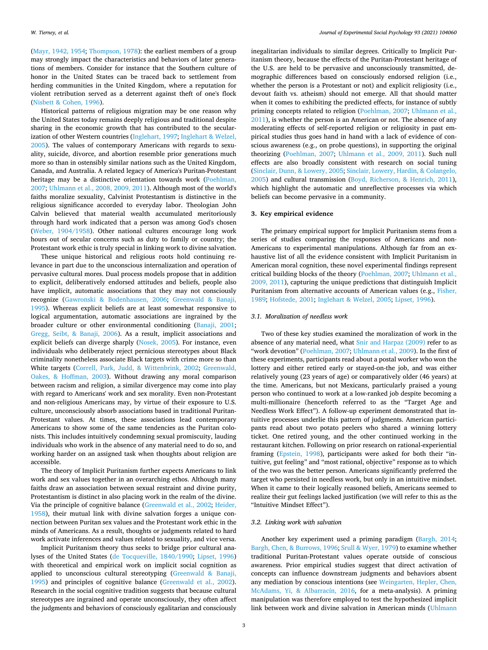([Mayr, 1942, 1954](#page-16-21); [Thompson, 1978](#page-17-22)): the earliest members of a group may strongly impact the characteristics and behaviors of later generations of members. Consider for instance that the Southern culture of honor in the United States can be traced back to settlement from herding communities in the United Kingdom, where a reputation for violent retribution served as a deterrent against theft of one's flock ([Nisbett & Cohen, 1996\)](#page-17-23).

Historical patterns of religious migration may be one reason why the United States today remains deeply religious and traditional despite sharing in the economic growth that has contributed to the secularization of other Western countries [\(Inglehart, 1997;](#page-16-22) [Inglehart & Welzel,](#page-16-23)  [2005\)](#page-16-23). The values of contemporary Americans with regards to sexuality, suicide, divorce, and abortion resemble prior generations much more so than in ostensibly similar nations such as the United Kingdom, Canada, and Australia. A related legacy of America's Puritan-Protestant heritage may be a distinctive orientation towards work [\(Poehlman,](#page-17-0)  [2007;](#page-17-0) [Uhlmann et al., 2008, 2009, 2011](#page-17-1)). Although most of the world's faiths moralize sexuality, Calvinist Protestantism is distinctive in the religious significance accorded to everyday labor. Theologian John Calvin believed that material wealth accumulated meritoriously through hard work indicated that a person was among God's chosen ([Weber, 1904/1958\)](#page-17-24). Other national cultures encourage long work hours out of secular concerns such as duty to family or country; the Protestant work ethic is truly special in linking work to divine salvation.

These unique historical and religious roots hold continuing relevance in part due to the unconscious internalization and operation of pervasive cultural mores. Dual process models propose that in addition to explicit, deliberatively endorsed attitudes and beliefs, people also have implicit, automatic associations that they may not consciously recognize [\(Gawronski & Bodenhausen, 2006;](#page-16-24) [Greenwald & Banaji,](#page-16-0)  [1995\)](#page-16-0). Whereas explicit beliefs are at least somewhat responsive to logical argumentation, automatic associations are ingrained by the broader culture or other environmental conditioning ([Banaji, 2001](#page-15-0); [Gregg, Seibt, & Banaji, 2006\)](#page-16-25). As a result, implicit associations and explicit beliefs can diverge sharply ([Nosek, 2005](#page-17-25)). For instance, even individuals who deliberately reject pernicious stereotypes about Black criminality nonetheless associate Black targets with crime more so than White targets ([Correll, Park, Judd, & Wittenbrink, 2002;](#page-15-10) [Greenwald,](#page-16-26)  [Oakes, & Hoffman, 2003](#page-16-26)). Without drawing any moral comparison between racism and religion, a similar divergence may come into play with regard to Americans' work and sex morality. Even non-Protestant and non-religious Americans may, by virtue of their exposure to U.S. culture, unconsciously absorb associations based in traditional Puritan-Protestant values. At times, these associations lead contemporary Americans to show some of the same tendencies as the Puritan colonists. This includes intuitively condemning sexual promiscuity, lauding individuals who work in the absence of any material need to do so, and working harder on an assigned task when thoughts about religion are accessible.

The theory of Implicit Puritanism further expects Americans to link work and sex values together in an overarching ethos. Although many faiths draw an association between sexual restraint and divine purity, Protestantism is distinct in also placing work in the realm of the divine. Via the principle of cognitive balance ([Greenwald et al., 2002;](#page-16-27) [Heider,](#page-16-28)  [1958\)](#page-16-28), their mutual link with divine salvation forges a unique connection between Puritan sex values and the Protestant work ethic in the minds of Americans. As a result, thoughts or judgments related to hard work activate inferences and values related to sexuality, and vice versa.

Implicit Puritanism theory thus seeks to bridge prior cultural analyses of the United States [\(de Tocqueville, 1840/1990;](#page-16-2) [Lipset, 1996\)](#page-16-4) with theoretical and empirical work on implicit social cognition as applied to unconscious cultural stereotyping [\(Greenwald & Banaji,](#page-16-0)  [1995\)](#page-16-0) and principles of cognitive balance [\(Greenwald et al., 2002](#page-16-27)). Research in the social cognitive tradition suggests that because cultural stereotypes are ingrained and operate unconsciously, they often affect the judgments and behaviors of consciously egalitarian and consciously

inegalitarian individuals to similar degrees. Critically to Implicit Puritanism theory, because the effects of the Puritan-Protestant heritage of the U.S. are held to be pervasive and unconsciously transmitted, demographic differences based on consciously endorsed religion (i.e., whether the person is a Protestant or not) and explicit religiosity (i.e., devout faith vs. atheism) should not emerge. All that should matter when it comes to exhibiting the predicted effects, for instance of subtly priming concepts related to religion ([Poehlman, 2007;](#page-17-0) [Uhlmann et al.,](#page-17-2)  [2011\)](#page-17-2), is whether the person is an American or not. The absence of any moderating effects of self-reported religion or religiosity in past empirical studies thus goes hand in hand with a lack of evidence of conscious awareness (e.g., on probe questions), in supporting the original theorizing ([Poehlman, 2007;](#page-17-0) [Uhlmann et al., 2009, 2011\)](#page-17-26). Such null effects are also broadly consistent with research on social tuning ([Sinclair, Dunn, & Lowery, 2005](#page-17-27); [Sinclair, Lowery, Hardin, & Colangelo,](#page-17-28)  [2005\)](#page-17-28) and cultural transmission [\(Boyd, Richerson, & Henrich, 2011](#page-15-11)), which highlight the automatic and unreflective processes via which beliefs can become pervasive in a community.

#### **3. Key empirical evidence**

The primary empirical support for Implicit Puritanism stems from a series of studies comparing the responses of Americans and non-Americans to experimental manipulations. Although far from an exhaustive list of all the evidence consistent with Implicit Puritanism in American moral cognition, these novel experimental findings represent critical building blocks of the theory ([Poehlman, 2007](#page-17-0); [Uhlmann et al.,](#page-17-26)  [2009, 2011](#page-17-26)), capturing the unique predictions that distinguish Implicit Puritanism from alternative accounts of American values (e.g., [Fisher,](#page-16-29)  [1989;](#page-16-29) [Hofstede, 2001](#page-16-30); [Inglehart & Welzel, 2005;](#page-16-23) [Lipset, 1996](#page-16-4)).

#### *3.1. Moralization of needless work*

Two of these key studies examined the moralization of work in the absence of any material need, what [Snir and Harpaz \(2009\)](#page-17-29) refer to as "work devotion" ([Poehlman, 2007](#page-17-0); [Uhlmann et al., 2009](#page-17-26)). In the first of these experiments, participants read about a postal worker who won the lottery and either retired early or stayed-on-the job, and was either relatively young (23 years of age) or comparatively older (46 years) at the time. Americans, but not Mexicans, particularly praised a young person who continued to work at a low-ranked job despite becoming a multi-millionaire (henceforth referred to as the "Target Age and Needless Work Effect"). A follow-up experiment demonstrated that intuitive processes underlie this pattern of judgments. American participants read about two potato peelers who shared a winning lottery ticket. One retired young, and the other continued working in the restaurant kitchen. Following on prior research on rational-experiential framing [\(Epstein, 1998\)](#page-16-31), participants were asked for both their "intuitive, gut feeling" and "most rational, objective" response as to which of the two was the better person. Americans significantly preferred the target who persisted in needless work, but only in an intuitive mindset. When it came to their logically reasoned beliefs, Americans seemed to realize their gut feelings lacked justification (we will refer to this as the "Intuitive Mindset Effect").

#### *3.2. Linking work with salvation*

Another key experiment used a priming paradigm ([Bargh, 2014](#page-15-12); [Bargh, Chen, & Burrows, 1996](#page-15-13); [Srull & Wyer, 1979](#page-17-30)) to examine whether traditional Puritan-Protestant values operate outside of conscious awareness. Prior empirical studies suggest that direct activation of concepts can influence downstream judgments and behaviors absent any mediation by conscious intentions (see [Weingarten, Hepler, Chen,](#page-17-31)  [McAdams, Yi, & Albarracín, 2016](#page-17-31), for a meta-analysis). A priming manipulation was therefore employed to test the hypothesized implicit link between work and divine salvation in American minds [\(Uhlmann](#page-17-2)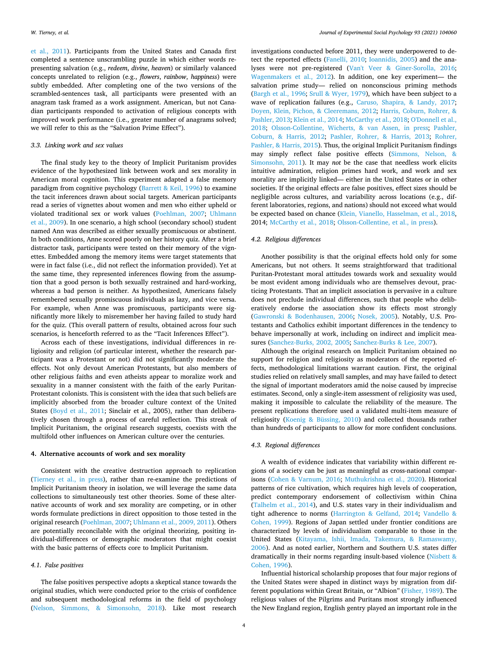[et al., 2011\)](#page-17-2). Participants from the United States and Canada first completed a sentence unscrambling puzzle in which either words representing salvation (e.g., *redeem*, *divine*, *heaven*) or similarly valanced concepts unrelated to religion (e.g., *flowers*, *rainbow*, *happiness*) were subtly embedded. After completing one of the two versions of the scrambled-sentences task, all participants were presented with an anagram task framed as a work assignment. American, but not Canadian participants responded to activation of religious concepts with improved work performance (i.e., greater number of anagrams solved; we will refer to this as the "Salvation Prime Effect").

## *3.3. Linking work and sex values*

The final study key to the theory of Implicit Puritanism provides evidence of the hypothesized link between work and sex morality in American moral cognition. This experiment adapted a false memory paradigm from cognitive psychology ([Barrett & Keil, 1996](#page-15-14)) to examine the tacit inferences drawn about social targets. American participants read a series of vignettes about women and men who either upheld or violated traditional sex or work values [\(Poehlman, 2007;](#page-17-0) [Uhlmann](#page-17-26)  [et al., 2009\)](#page-17-26). In one scenario, a high school (secondary school) student named Ann was described as either sexually promiscuous or abstinent. In both conditions, Anne scored poorly on her history quiz. After a brief distractor task, participants were tested on their memory of the vignettes. Embedded among the memory items were target statements that were in fact false (i.e., did not reflect the information provided). Yet at the same time, they represented inferences flowing from the assumption that a good person is both sexually restrained and hard-working, whereas a bad person is neither. As hypothesized, Americans falsely remembered sexually promiscuous individuals as lazy, and vice versa. For example, when Anne was promiscuous, participants were significantly more likely to misremember her having failed to study hard for the quiz. (This overall pattern of results, obtained across four such scenarios, is henceforth referred to as the "Tacit Inferences Effect").

Across each of these investigations, individual differences in religiosity and religion (of particular interest, whether the research participant was a Protestant or not) did not significantly moderate the effects. Not only devout American Protestants, but also members of other religious faiths and even atheists appear to moralize work and sexuality in a manner consistent with the faith of the early Puritan-Protestant colonists. This is consistent with the idea that such beliefs are implicitly absorbed from the broader culture context of the United States ([Boyd et al., 2011;](#page-15-11) Sinclair et al., 2005), rather than deliberatively chosen through a process of careful reflection. This streak of Implicit Puritanism, the original research suggests, coexists with the multifold other influences on American culture over the centuries.

#### **4. Alternative accounts of work and sex morality**

Consistent with the creative destruction approach to replication ([Tierney et al., in press\)](#page-17-7), rather than re-examine the predictions of Implicit Puritanism theory in isolation, we will leverage the same data collections to simultaneously test other theories. Some of these alternative accounts of work and sex morality are competing, or in other words formulate predictions in direct opposition to those tested in the original research [\(Poehlman, 2007;](#page-17-0) [Uhlmann et al., 2009, 2011](#page-17-26)). Others are potentially reconcilable with the original theorizing, positing individual-differences or demographic moderators that might coexist with the basic patterns of effects core to Implicit Puritanism.

#### *4.1. False positives*

The false positives perspective adopts a skeptical stance towards the original studies, which were conducted prior to the crisis of confidence and subsequent methodological reforms in the field of psychology ([Nelson, Simmons, & Simonsohn, 2018\)](#page-17-32). Like most research investigations conducted before 2011, they were underpowered to detect the reported effects [\(Fanelli, 2010](#page-16-32); [Ioannidis, 2005](#page-16-33)) and the analyses were not pre-registered [\(Van't Veer & Giner-Sorolla, 2016](#page-17-12); [Wagenmakers et al., 2012](#page-17-13)). In addition, one key experiment— the salvation prime study— relied on nonconscious priming methods ([Bargh et al., 1996](#page-15-13); [Srull & Wyer, 1979\)](#page-17-30), which have been subject to a wave of replication failures (e.g., [Caruso, Shapira, & Landy, 2017](#page-15-15); [Doyen, Klein, Pichon, & Cleeremans, 2012](#page-16-34); [Harris, Coburn, Rohrer, &](#page-16-35)  [Pashler, 2013](#page-16-35); [Klein et al., 2014;](#page-16-36) [McCarthy et al., 2018;](#page-16-37) [O'Donnell et al.,](#page-17-33)  [2018;](#page-17-33) [Olsson-Collentine, Wicherts, & van Assen, in press;](#page-17-34) [Pashler,](#page-17-35)  [Coburn, & Harris, 2012](#page-17-35); [Pashler, Rohrer, & Harris, 2013](#page-17-36); [Rohrer,](#page-17-37)  [Pashler, & Harris, 2015](#page-17-37)). Thus, the original Implicit Puritanism findings may simply reflect false positive effects ([Simmons, Nelson, &](#page-17-38)  [Simonsohn, 2011](#page-17-38)). It may *not* be the case that needless work elicits intuitive admiration, religion primes hard work, and work and sex morality are implicitly linked— either in the United States or in other societies. If the original effects are false positives, effect sizes should be negligible across cultures, and variability across locations (e.g., different laboratories, regions, and nations) should not exceed what would be expected based on chance [\(Klein, Vianello, Hasselman, et al., 2018](#page-16-38), 2014; [McCarthy et al., 2018](#page-16-37); [Olsson-Collentine, et al., in press](#page-17-34)).

# *4.2. Religious differences*

Another possibility is that the original effects hold only for some Americans, but not others. It seems straightforward that traditional Puritan-Protestant moral attitudes towards work and sexuality would be most evident among individuals who are themselves devout, practicing Protestants. That an implicit association is pervasive in a culture does not preclude individual differences, such that people who deliberatively endorse the association show its effects most strongly ([Gawronski & Bodenhausen, 2006](#page-16-24); [Nosek, 2005](#page-17-25)). Notably, U.S. Protestants and Catholics exhibit important differences in the tendency to behave impersonally at work, including on indirect and implicit measures [\(Sanchez-Burks, 2002, 2005;](#page-17-39) [Sanchez-Burks & Lee, 2007\)](#page-17-40).

Although the original research on Implicit Puritanism obtained no support for religion and religiosity as moderators of the reported effects, methodological limitations warrant caution. First, the original studies relied on relatively small samples, and may have failed to detect the signal of important moderators amid the noise caused by imprecise estimates. Second, only a single-item assessment of religiosity was used, making it impossible to calculate the reliability of the measure. The present replications therefore used a validated multi-item measure of religiosity ([Koenig & Büssing, 2010](#page-16-39)) and collected thousands rather than hundreds of participants to allow for more confident conclusions.

#### *4.3. Regional differences*

A wealth of evidence indicates that variability within different regions of a society can be just as meaningful as cross-national comparisons [\(Cohen & Varnum, 2016;](#page-15-16) [Muthukrishna et al., 2020](#page-17-41)). Historical patterns of rice cultivation, which requires high levels of cooperation, predict contemporary endorsement of collectivism within China ([Talhelm et al., 2014](#page-17-42)), and U.S. states vary in their individualism and tight adherence to norms ([Harrington & Gelfand, 2014;](#page-16-40) [Vandello &](#page-17-43)  [Cohen, 1999](#page-17-43)). Regions of Japan settled under frontier conditions are characterized by levels of individualism comparable to those in the United States [\(Kitayama, Ishii, Imada, Takemura, & Ramaswamy,](#page-16-41)  [2006\)](#page-16-41). And as noted earlier, Northern and Southern U.S. states differ dramatically in their norms regarding insult-based violence [\(Nisbett &](#page-17-23)  [Cohen, 1996\)](#page-17-23).

Influential historical scholarship proposes that four major regions of the United States were shaped in distinct ways by migration from different populations within Great Britain, or "Albion" [\(Fisher, 1989](#page-16-29)). The religious values of the Pilgrims and Puritans most strongly influenced the New England region, English gentry played an important role in the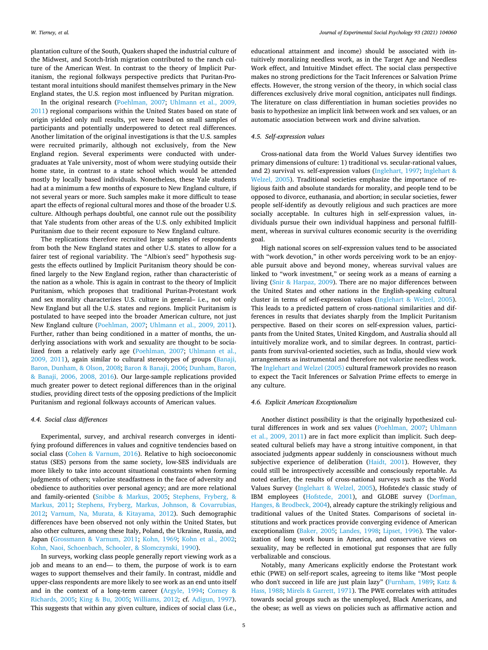plantation culture of the South, Quakers shaped the industrial culture of the Midwest, and Scotch-Irish migration contributed to the ranch culture of the American West. In contrast to the theory of Implicit Puritanism, the regional folkways perspective predicts that Puritan-Protestant moral intuitions should manifest themselves primary in the New England states, the U.S. region most influenced by Puritan migration.

In the original research ([Poehlman, 2007;](#page-17-0) [Uhlmann et al., 2009,](#page-17-26)  [2011\)](#page-17-26) regional comparisons within the United States based on state of origin yielded only null results, yet were based on small samples of participants and potentially underpowered to detect real differences. Another limitation of the original investigations is that the U.S. samples were recruited primarily, although not exclusively, from the New England region. Several experiments were conducted with undergraduates at Yale university, most of whom were studying outside their home state, in contrast to a state school which would be attended mostly by locally based individuals. Nonetheless, these Yale students had at a minimum a few months of exposure to New England culture, if not several years or more. Such samples make it more difficult to tease apart the effects of regional cultural mores and those of the broader U.S. culture. Although perhaps doubtful, one cannot rule out the possibility that Yale students from other areas of the U.S. only exhibited Implicit Puritanism due to their recent exposure to New England culture.

The replications therefore recruited large samples of respondents from both the New England states and other U.S. states to allow for a fairer test of regional variability. The "Albion's seed" hypothesis suggests the effects outlined by Implicit Puritanism theory should be confined largely to the New England region, rather than characteristic of the nation as a whole. This is again in contrast to the theory of Implicit Puritanism, which proposes that traditional Puritan-Protestant work and sex morality characterizes U.S. culture in general– i.e., not only New England but all the U.S. states and regions. Implicit Puritanism is postulated to have seeped into the broader American culture, not just New England culture [\(Poehlman, 2007;](#page-17-0) [Uhlmann et al., 2009, 2011](#page-17-26)). Further, rather than being conditioned in a matter of months, the underlying associations with work and sexuality are thought to be socialized from a relatively early age [\(Poehlman, 2007;](#page-17-0) [Uhlmann et al.,](#page-17-26)  [2009, 2011](#page-17-26)), again similar to cultural stereotypes of groups [\(Banaji,](#page-15-17)  [Baron, Dunham, & Olson, 2008](#page-15-17); [Baron & Banaji, 2006;](#page-15-18) [Dunham, Baron,](#page-16-42)  [& Banaji, 2006, 2008, 2016](#page-16-42)). Our large-sample replications provided much greater power to detect regional differences than in the original studies, providing direct tests of the opposing predictions of the Implicit Puritanism and regional folkways accounts of American values.

#### *4.4. Social class differences*

Experimental, survey, and archival research converges in identifying profound differences in values and cognitive tendencies based on social class [\(Cohen & Varnum, 2016](#page-15-16)). Relative to high socioeconomic status (SES) persons from the same society, low-SES individuals are more likely to take into account situational constraints when forming judgments of others; valorize steadfastness in the face of adversity and obedience to authorities over personal agency; and are more relational and family-oriented ([Snibbe & Markus, 2005;](#page-17-44) [Stephens, Fryberg, &](#page-17-45)  [Markus, 2011](#page-17-45); [Stephens, Fryberg, Markus, Johnson, & Covarrubias,](#page-17-46)  [2012;](#page-17-46) [Varnum, Na, Murata, & Kitayama, 2012](#page-17-47)). Such demographic differences have been observed not only within the United States, but also other cultures, among these Italy, Poland, the Ukraine, Russia, and Japan [\(Grossmann & Varnum, 2011;](#page-16-43) [Kohn, 1969](#page-16-44); [Kohn et al., 2002](#page-16-45); [Kohn, Naoi, Schoenbach, Schooler, & Slomczynski, 1990](#page-16-46)).

In surveys, working class people generally report viewing work as a job and means to an end— to them, the purpose of work is to earn wages to support themselves and their family. In contrast, middle and upper-class respondents are more likely to see work as an end unto itself and in the context of a long-term career ([Argyle, 1994](#page-15-19); [Corney &](#page-15-20)  [Richards, 2005;](#page-15-20) [King & Bu, 2005;](#page-16-47) [Williams, 2012;](#page-17-48) cf. [Adigun, 1997](#page-15-21)). This suggests that within any given culture, indices of social class (i.e.,

educational attainment and income) should be associated with intuitively moralizing needless work, as in the Target Age and Needless Work effect, and Intuitive Mindset effect. The social class perspective makes no strong predictions for the Tacit Inferences or Salvation Prime effects. However, the strong version of the theory, in which social class differences exclusively drive moral cognition, anticipates null findings. The literature on class differentiation in human societies provides no basis to hypothesize an implicit link between work and sex values, or an automatic association between work and divine salvation.

## *4.5. Self-expression values*

Cross-national data from the World Values Survey identifies two primary dimensions of culture: 1) traditional vs. secular-rational values, and 2) survival vs. self-expression values ([Inglehart, 1997;](#page-16-22) [Inglehart &](#page-16-23)  [Welzel, 2005\)](#page-16-23). Traditional societies emphasize the importance of religious faith and absolute standards for morality, and people tend to be opposed to divorce, euthanasia, and abortion; in secular societies, fewer people self-identify as devoutly religious and such practices are more socially acceptable. In cultures high in self-expression values, individuals pursue their own individual happiness and personal fulfillment, whereas in survival cultures economic security is the overriding goal.

High national scores on self-expression values tend to be associated with "work devotion," in other words perceiving work to be an enjoyable pursuit above and beyond money, whereas survival values are linked to "work investment," or seeing work as a means of earning a living ([Snir & Harpaz, 2009](#page-17-29)). There are no major differences between the United States and other nations in the English-speaking cultural cluster in terms of self-expression values ([Inglehart & Welzel, 2005](#page-16-23)). This leads to a predicted pattern of cross-national similarities and differences in results that deviates sharply from the Implicit Puritanism perspective. Based on their scores on self-expression values, participants from the United States, United Kingdom, and Australia should all intuitively moralize work, and to similar degrees. In contrast, participants from survival-oriented societies, such as India, should view work arrangements as instrumental and therefore not valorize needless work. The [Inglehart and Welzel \(2005\)](#page-16-23) cultural framework provides no reason to expect the Tacit Inferences or Salvation Prime effects to emerge in any culture.

#### *4.6. Explicit American Exceptionalism*

Another distinct possibility is that the originally hypothesized cultural differences in work and sex values ([Poehlman, 2007](#page-17-0); [Uhlmann](#page-17-26)  [et al., 2009, 2011](#page-17-26)) are in fact more explicit than implicit. Such deepseated cultural beliefs may have a strong intuitive component, in that associated judgments appear suddenly in consciousness without much subjective experience of deliberation [\(Haidt, 2001](#page-16-1)). However, they could still be introspectively accessible and consciously reportable. As noted earlier, the results of cross-national surveys such as the World Values Survey ([Inglehart & Welzel, 2005\)](#page-16-23), Hofstede's classic study of IBM employees [\(Hofstede, 2001\)](#page-16-30), and GLOBE survey [\(Dorfman,](#page-16-48)  [Hanges, & Brodbeck, 2004\)](#page-16-48), already capture the strikingly religious and traditional values of the United States. Comparisons of societal institutions and work practices provide converging evidence of American exceptionalism ([Baker, 2005](#page-15-1); [Landes, 1998](#page-16-3); [Lipset, 1996](#page-16-4)). The valorization of long work hours in America, and conservative views on sexuality, may be reflected in emotional gut responses that are fully verbalizable and conscious.

Notably, many Americans explicitly endorse the Protestant work ethic (PWE) on self-report scales, agreeing to items like "Most people who don't succeed in life are just plain lazy" ([Furnham, 1989](#page-16-49); [Katz &](#page-16-50)  [Hass, 1988](#page-16-50); [Mirels & Garrett, 1971\)](#page-16-51). The PWE correlates with attitudes towards social groups such as the unemployed, Black Americans, and the obese; as well as views on policies such as affirmative action and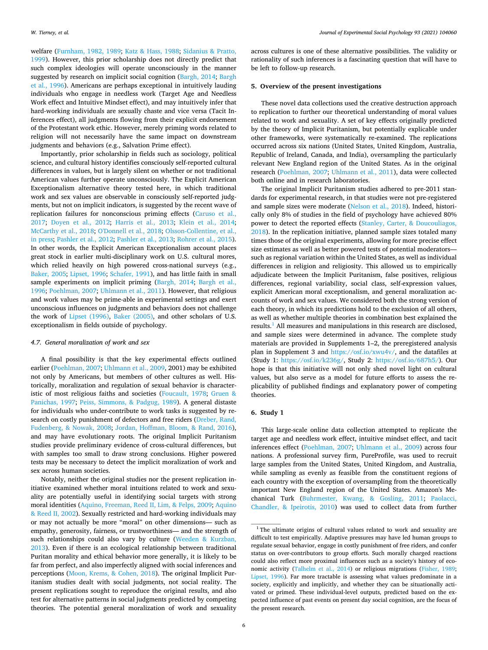welfare ([Furnham, 1982, 1989;](#page-16-52) [Katz & Hass, 1988;](#page-16-50) [Sidanius & Pratto,](#page-17-49)  [1999\)](#page-17-49). However, this prior scholarship does not directly predict that such complex ideologies will operate unconsciously in the manner suggested by research on implicit social cognition ([Bargh, 2014](#page-15-12); [Bargh](#page-15-13)  [et al., 1996](#page-15-13)). Americans are perhaps exceptional in intuitively lauding individuals who engage in needless work (Target Age and Needless Work effect and Intuitive Mindset effect), and may intuitively infer that hard-working individuals are sexually chaste and vice versa (Tacit Inferences effect), all judgments flowing from their explicit endorsement of the Protestant work ethic. However, merely priming words related to religion will not necessarily have the same impact on downstream judgments and behaviors (e.g., Salvation Prime effect).

Importantly, prior scholarship in fields such as sociology, political science, and cultural history identifies consciously self-reported cultural differences in values, but is largely silent on whether or not traditional American values further operate unconsciously. The Explicit American Exceptionalism alternative theory tested here, in which traditional work and sex values are observable in consciously self-reported judgments, but not on implicit indicators, is suggested by the recent wave of replication failures for nonconscious priming effects [\(Caruso et al.,](#page-15-15)  [2017;](#page-15-15) [Doyen et al., 2012](#page-16-34); [Harris et al., 2013](#page-16-35); [Klein et al., 2014](#page-16-36); [McCarthy et al., 2018;](#page-16-37) [O'Donnell et al., 2018](#page-17-33); [Olsson-Collentine, et al.,](#page-17-34)  [in press;](#page-17-34) [Pashler et al., 2012](#page-17-35); [Pashler et al., 2013;](#page-17-36) [Rohrer et al., 2015](#page-17-37)). In other words, the Explicit American Exceptionalism account places great stock in earlier multi-disciplinary work on U.S. cultural mores, which relied heavily on high powered cross-national surveys (e.g., [Baker, 2005;](#page-15-1) [Lipset, 1996](#page-16-4); [Schafer, 1991\)](#page-17-18), and has little faith in small sample experiments on implicit priming ([Bargh, 2014;](#page-15-12) [Bargh et al.,](#page-15-13)  [1996;](#page-15-13) [Poehlman, 2007;](#page-17-0) [Uhlmann et al., 2011\)](#page-17-2). However, that religious and work values may be prime-able in experimental settings and exert unconscious influences on judgments and behaviors does not challenge the work of [Lipset \(1996\)](#page-16-4), [Baker \(2005\),](#page-15-1) and other scholars of U.S. exceptionalism in fields outside of psychology.

# *4.7. General moralization of work and sex*

A final possibility is that the key experimental effects outlined earlier ([Poehlman, 2007;](#page-17-0) [Uhlmann et al., 2009](#page-17-26), 2001) may be exhibited not only by Americans, but members of other cultures as well. Historically, moralization and regulation of sexual behavior is characteristic of most religious faiths and societies [\(Foucault, 1978;](#page-16-53) [Gruen &](#page-16-54)  [Panichas, 1997](#page-16-54); [Peiss, Simmons, & Padgug, 1989\)](#page-17-50). A general distaste for individuals who under-contribute to work tasks is suggested by research on costly punishment of defectors and free riders ([Dreber, Rand,](#page-16-55)  [Fudenberg, & Nowak, 2008;](#page-16-55) [Jordan, Hoffman, Bloom, & Rand, 2016](#page-16-56)), and may have evolutionary roots. The original Implicit Puritanism studies provide preliminary evidence of cross-cultural differences, but with samples too small to draw strong conclusions. Higher powered tests may be necessary to detect the implicit moralization of work and sex across human societies.

Notably, neither the original studies nor the present replication initiative examined whether moral intuitions related to work and sexuality are potentially useful in identifying social targets with strong moral identities [\(Aquino, Freeman, Reed II, Lim, & Felps, 2009;](#page-15-22) [Aquino](#page-15-23)  [& Reed II, 2002\)](#page-15-23). Sexually restricted and hard-working individuals may or may not actually be more "moral" on other dimensions— such as empathy, generosity, fairness, or trustworthiness— and the strength of such relationships could also vary by culture ([Weeden & Kurzban,](#page-17-51)  [2013\)](#page-17-51). Even if there is an ecological relationship between traditional Puritan morality and ethical behavior more generally, it is likely to be far from perfect, and also imperfectly aligned with social inferences and perceptions [\(Moon, Krems, & Cohen, 2018\)](#page-16-57). The original Implicit Puritanism studies dealt with social judgments, not social reality. The present replications sought to reproduce the original results, and also test for alternative patterns in social judgments predicted by competing theories. The potential general moralization of work and sexuality across cultures is one of these alternative possibilities. The validity or rationality of such inferences is a fascinating question that will have to be left to follow-up research.

## **5. Overview of the present investigations**

These novel data collections used the creative destruction approach to replication to further our theoretical understanding of moral values related to work and sexuality. A set of key effects originally predicted by the theory of Implicit Puritanism, but potentially explicable under other frameworks, were systematically re-examined. The replications occurred across six nations (United States, United Kingdom, Australia, Republic of Ireland, Canada, and India), oversampling the particularly relevant New England region of the United States. As in the original research ([Poehlman, 2007;](#page-17-0) [Uhlmann et al., 2011\)](#page-17-2), data were collected both online and in research laboratories.

The original Implicit Puritanism studies adhered to pre-2011 standards for experimental research, in that studies were not pre-registered and sample sizes were moderate ([Nelson et al., 2018](#page-17-32)). Indeed, historically only 8% of studies in the field of psychology have achieved 80% power to detect the reported effects [\(Stanley, Carter, & Doucouliagos,](#page-17-52)  [2018\)](#page-17-52). In the replication initiative, planned sample sizes totaled many times those of the original experiments, allowing for more precise effect size estimates as well as better powered tests of potential moderators such as regional variation within the United States, as well as individual differences in religion and religiosity. This allowed us to empirically adjudicate between the Implicit Puritanism, false positives, religious differences, regional variability, social class, self-expression values, explicit American moral exceptionalism, and general moralization accounts of work and sex values. We considered both the strong version of each theory, in which its predictions hold to the exclusion of all others, as well as whether multiple theories in combination best explained the results.<sup>[1](#page-5-0)</sup> All measures and manipulations in this research are disclosed, and sample sizes were determined in advance. The complete study materials are provided in Supplements 1–2, the preregistered analysis plan in Supplement 3 and <https://osf.io/xwu4v/>, and the datafiles at (Study 1: [https://osf.io/k236g/,](https://osf.io/k236g/) Study 2: [https://osf.io/687h5/\)](https://osf.io/687h5/). Our hope is that this initiative will not only shed novel light on cultural values, but also serve as a model for future efforts to assess the replicability of published findings and explanatory power of competing theories.

## **6. Study 1**

This large-scale online data collection attempted to replicate the target age and needless work effect, intuitive mindset effect, and tacit inferences effect [\(Poehlman, 2007;](#page-17-0) [Uhlmann et al., 2009](#page-17-26)) across four nations. A professional survey firm, PureProfile, was used to recruit large samples from the United States, United Kingdom, and Australia, while sampling as evenly as feasible from the constituent regions of each country with the exception of oversampling from the theoretically important New England region of the United States. Amazon's Mechanical Turk [\(Buhrmester, Kwang, & Gosling, 2011](#page-15-24); [Paolacci,](#page-17-53)  [Chandler, & Ipeirotis, 2010\)](#page-17-53) was used to collect data from further

<span id="page-5-0"></span><sup>&</sup>lt;sup>1</sup> The ultimate origins of cultural values related to work and sexuality are difficult to test empirically. Adaptive pressures may have led human groups to regulate sexual behavior, engage in costly punishment of free riders, and confer status on over-contributors to group efforts. Such morally charged reactions could also reflect more proximal influences such as a society's history of economic activity ([Talhelm et al., 2014\)](#page-17-42) or religious migrations ([Fisher, 1989;](#page-16-29) [Lipset, 1996\)](#page-16-4). Far more tractable is assessing what values predominate in a society, explicitly and implicitly, and whether they can be situationally activated or primed. These individual-level outputs, predicted based on the expected influence of past events on present day social cognition, are the focus of the present research.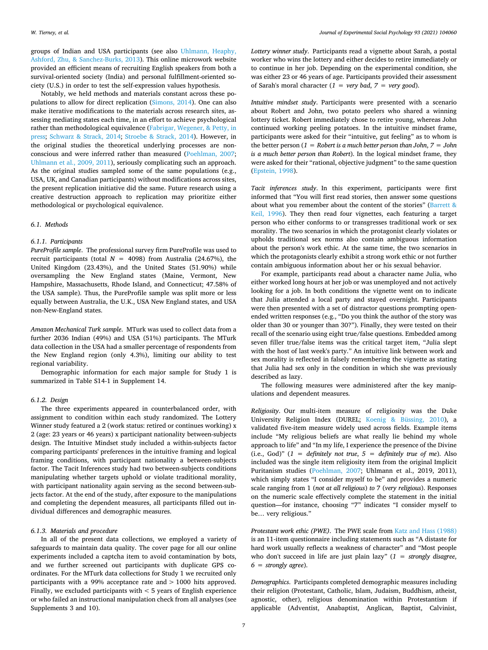groups of Indian and USA participants (see also [Uhlmann, Heaphy,](#page-17-54)  [Ashford, Zhu, & Sanchez-Burks, 2013\)](#page-17-54). This online microwork website provided an efficient means of recruiting English speakers from both a survival-oriented society (India) and personal fulfillment-oriented society (U.S.) in order to test the self-expression values hypothesis.

Notably, we held methods and materials constant across these populations to allow for direct replication ([Simons, 2014](#page-17-6)). One can also make iterative modifications to the materials across research sites, assessing mediating states each time, in an effort to achieve psychological rather than methodological equivalence ([Fabrigar, Wegener, & Petty, in](#page-16-58)  [press](#page-16-58); [Schwarz & Strack, 2014](#page-17-55); [Stroebe & Strack, 2014](#page-17-56)). However, in the original studies the theoretical underlying processes are nonconscious and were inferred rather than measured ([Poehlman, 2007](#page-17-0); [Uhlmann et al., 2009, 2011](#page-17-26)), seriously complicating such an approach. As the original studies sampled some of the same populations (e.g., USA, UK, and Canadian participants) without modifications across sites, the present replication initiative did the same. Future research using a creative destruction approach to replication may prioritize either methodological or psychological equivalence.

### *6.1. Methods*

#### *6.1.1. Participants*

*PureProfile sample*. The professional survey firm PureProfile was used to recruit participants (total  $N = 4098$ ) from Australia (24.67%), the United Kingdom (23.43%), and the United States (51.90%) while oversampling the New England states (Maine, Vermont, New Hampshire, Massachusetts, Rhode Island, and Connecticut; 47.58% of the USA sample). Thus, the PureProfile sample was split more or less equally between Australia, the U.K., USA New England states, and USA non-New-England states.

*Amazon Mechanical Turk sample*. MTurk was used to collect data from a further 2036 Indian (49%) and USA (51%) participants. The MTurk data collection in the USA had a smaller percentage of respondents from the New England region (only 4.3%), limiting our ability to test regional variability.

Demographic information for each major sample for Study 1 is summarized in Table S14-1 in Supplement 14.

## *6.1.2. Design*

The three experiments appeared in counterbalanced order, with assignment to condition within each study randomized. The Lottery Winner study featured a 2 (work status: retired or continues working) x 2 (age: 23 years or 46 years) x participant nationality between-subjects design. The Intuitive Mindset study included a within-subjects factor comparing participants' preferences in the intuitive framing and logical framing conditions, with participant nationality a between-subjects factor. The Tacit Inferences study had two between-subjects conditions manipulating whether targets uphold or violate traditional morality, with participant nationality again serving as the second between-subjects factor. At the end of the study, after exposure to the manipulations and completing the dependent measures, all participants filled out individual differences and demographic measures.

# *6.1.3. Materials and procedure*

In all of the present data collections, we employed a variety of safeguards to maintain data quality. The cover page for all our online experiments included a captcha item to avoid contamination by bots, and we further screened out participants with duplicate GPS coordinates. For the MTurk data collections for Study 1 we recruited only participants with a 99% acceptance rate and > 1000 hits approved. Finally, we excluded participants with < 5 years of English experience or who failed an instructional manipulation check from all analyses (see Supplements 3 and 10).

*Lottery winner study*. Participants read a vignette about Sarah, a postal worker who wins the lottery and either decides to retire immediately or to continue in her job. Depending on the experimental condition, she was either 23 or 46 years of age. Participants provided their assessment of Sarah's moral character (*1* = *very bad*, *7* = *very good*).

*Intuitive mindset study*. Participants were presented with a scenario about Robert and John, two potato peelers who shared a winning lottery ticket. Robert immediately chose to retire young, whereas John continued working peeling potatoes. In the intuitive mindset frame, participants were asked for their "intuitive, gut feeling" as to whom is the better person (*1* = *Robert is a much better person than John*, *7* = *John is a much better person than Robert*). In the logical mindset frame, they were asked for their "rational, objective judgment" to the same question ([Epstein, 1998](#page-16-31)).

*Tacit inferences study*. In this experiment, participants were first informed that "You will first read stories, then answer some questions about what you remember about the content of the stories" [\(Barrett &](#page-15-14)  [Keil, 1996\)](#page-15-14). They then read four vignettes, each featuring a target person who either conforms to or transgresses traditional work or sex morality. The two scenarios in which the protagonist clearly violates or upholds traditional sex norms also contain ambiguous information about the person's work ethic. At the same time, the two scenarios in which the protagonists clearly exhibit a strong work ethic or not further contain ambiguous information about her or his sexual behavior.

For example, participants read about a character name Julia, who either worked long hours at her job or was unemployed and not actively looking for a job. In both conditions the vignette went on to indicate that Julia attended a local party and stayed overnight. Participants were then presented with a set of distractor questions prompting openended written responses (e.g., "Do you think the author of the story was older than 30 or younger than 30?"). Finally, they were tested on their recall of the scenario using eight true/false questions. Embedded among seven filler true/false items was the critical target item, "Julia slept with the host of last week's party." An intuitive link between work and sex morality is reflected in falsely remembering the vignette as stating that Julia had sex only in the condition in which she was previously described as lazy.

The following measures were administered after the key manipulations and dependent measures.

*Religiosity*. Our multi-item measure of religiosity was the Duke University Religion Index (DUREL; [Koenig & Büssing, 2010](#page-16-39)), a validated five-item measure widely used across fields. Example items include "My religious beliefs are what really lie behind my whole approach to life" and "In my life, I experience the presence of the Divine (i.e., God)" (*1* = *definitely not true*, *5* = *definitely true of me*). Also included was the single item religiosity item from the original Implicit Puritanism studies ([Poehlman, 2007;](#page-17-0) Uhlmann et al., 2019, 2011), which simply states "I consider myself to be" and provides a numeric scale ranging from 1 (*not at all religious*) *to* 7 (*very religious*). Responses on the numeric scale effectively complete the statement in the initial question—for instance, choosing "7" indicates "I consider myself to be… very religious."

*Protestant work ethic (PWE)*. The PWE scale from [Katz and Hass \(1988\)](#page-16-50)  is an 11-item questionnaire including statements such as "A distaste for hard work usually reflects a weakness of character" and "Most people who don't succeed in life are just plain lazy" (*1* = *strongly disagree*, *6* = *strongly agree*).

*Demographics*. Participants completed demographic measures including their religion (Protestant, Catholic, Islam, Judaism, Buddhism, atheist, agnostic, other), religious denomination within Protestantism if applicable (Adventist, Anabaptist, Anglican, Baptist, Calvinist,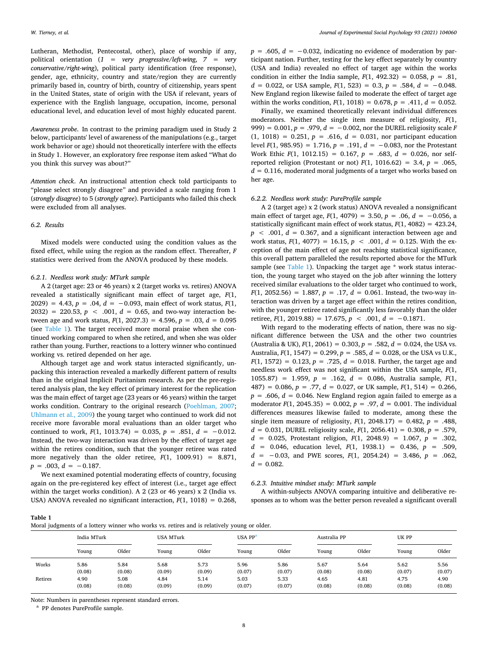Lutheran, Methodist, Pentecostal, other), place of worship if any, political orientation (*1* = *very progressive*/*left*-*wing*, *7* = *very conservative*/*right*-*wing*), political party identification (free response), gender, age, ethnicity, country and state/region they are currently primarily based in, country of birth, country of citizenship, years spent in the United States, state of origin with the USA if relevant, years of experience with the English language, occupation, income, personal educational level, and education level of most highly educated parent.

*Awareness probe*. In contrast to the priming paradigm used in Study 2 below, participants' level of awareness of the manipulations (e.g., target work behavior or age) should not theoretically interfere with the effects in Study 1. However, an exploratory free response item asked "What do you think this survey was about?"

*Attention check*. An instructional attention check told participants to "please select strongly disagree" and provided a scale ranging from 1 (*strongly disagree*) to 5 (*strongly agree*). Participants who failed this check were excluded from all analyses.

## *6.2. Results*

Mixed models were conducted using the condition values as the fixed effect, while using the region as the random effect. Thereafter, *F*  statistics were derived from the ANOVA produced by these models.

#### *6.2.1. Needless work study: MTurk sample*

A 2 (target age: 23 or 46 years) x 2 (target works vs. retires) ANOVA revealed a statistically significant main effect of target age, *F*(1, 2029) = 4.43,  $p = .04$ ,  $d = -0.093$ , main effect of work status,  $F(1)$ , 2032) = 220.53,  $p < .001$ ,  $d = 0.65$ , and two-way interaction between age and work status,  $F(1, 2027.3) = 4.596$ ,  $p = .03$ ,  $d = 0.095$ (see [Table 1\)](#page-7-0). The target received more moral praise when she continued working compared to when she retired, and when she was older rather than young. Further, reactions to a lottery winner who continued working vs. retired depended on her age.

Although target age and work status interacted significantly, unpacking this interaction revealed a markedly different pattern of results than in the original Implicit Puritanism research. As per the pre-registered analysis plan, the key effect of primary interest for the replication was the main effect of target age (23 years or 46 years) within the target works condition. Contrary to the original research ([Poehlman, 2007](#page-17-0); [Uhlmann et al., 2009\)](#page-17-26) the young target who continued to work did not receive more favorable moral evaluations than an older target who continued to work,  $F(1, 1013.74) = 0.035$ ,  $p = .851$ ,  $d = -0.012$ . Instead, the two-way interaction was driven by the effect of target age within the retires condition, such that the younger retiree was rated more negatively than the older retiree, *F*(1, 1009.91) = 8.871,  $p = .003, d = -0.187.$ 

We next examined potential moderating effects of country, focusing again on the pre-registered key effect of interest (i.e., target age effect within the target works condition). A 2 (23 or 46 years) x 2 (India vs. USA) ANOVA revealed no significant interaction, *F*(1, 1018) = 0.268,

 $p = .605$ ,  $d = -0.032$ , indicating no evidence of moderation by participant nation. Further, testing for the key effect separately by country (USA and India) revealed no effect of target age within the works condition in either the India sample,  $F(1, 492.32) = 0.058$ ,  $p = .81$ , *d* = 0.022, or USA sample, *F*(1, 523) = 0.3, *p* = .584, *d* = −0.048. New England region likewise failed to moderate the effect of target age within the works condition,  $F(1, 1018) = 0.678$ ,  $p = .411$ ,  $d = 0.052$ .

Finally, we examined theoretically relevant individual differences moderators. Neither the single item measure of religiosity, *F*(1, 999) =  $0.001$ ,  $p = .979$ ,  $d = -0.002$ , nor the DUREL religiosity scale *F*  $(1, 1018) = 0.251$ ,  $p = .616$ ,  $d = 0.031$ , nor participant education level *F*(1, 985.95) = 1.716, *p* = .191, *d* = −0.083, nor the Protestant Work Ethic  $F(1, 1012.15) = 0.167$ ,  $p = .683$ ,  $d = 0.026$ , nor selfreported religion (Protestant or not)  $F(1, 1016.62) = 3.4$ ,  $p = .065$ , *d* = 0.116, moderated moral judgments of a target who works based on her age.

#### *6.2.2. Needless work study: PureProfile sample*

A 2 (target age) x 2 (work status) ANOVA revealed a nonsignificant main effect of target age, *F*(1, 4079) = 3.50, *p* = .06, *d* = −0.056, a statistically significant main effect of work status, *F*(1, 4082) = 423.24,  $p \sim .001, d = 0.367$ , and a significant interaction between age and work status,  $F(1, 4077) = 16.15$ ,  $p < .001$ ,  $d = 0.125$ . With the exception of the main effect of age not reaching statistical significance, this overall pattern paralleled the results reported above for the MTurk sample (see [Table 1](#page-7-0)). Unpacking the target age  $*$  work status interaction, the young target who stayed on the job after winning the lottery received similar evaluations to the older target who continued to work,  $F(1, 2052.56) = 1.887, p = .17, d = 0.061$ . Instead, the two-way interaction was driven by a target age effect within the retires condition, with the younger retiree rated significantly less favorably than the older retiree, *F*(1, 2019.88) = 17.675, *p* < .001, *d* = −0.1871.

With regard to the moderating effects of nation, there was no significant difference between the USA and the other two countries (Australia & UK),  $F(1, 2061) = 0.303$ ,  $p = .582$ ,  $d = 0.024$ , the USA vs. Australia, *F*(1, 1547) = 0.299, *p* = .585, *d* = 0.028, or the USA vs U.K.,  $F(1, 1572) = 0.123$ ,  $p = .725$ ,  $d = 0.018$ . Further, the target age and needless work effect was not significant within the USA sample, *F*(1, 1055.87) = 1.959, *p* = .162, *d* = 0.086, Australia sample, *F*(1, 487) = 0.086,  $p = .77$ ,  $d = 0.027$ , or UK sample,  $F(1, 514) = 0.266$ ,  $p = .606$ ,  $d = 0.046$ . New England region again failed to emerge as a moderator *F*(1, 2045.35) = 0.002, *p* = .97, *d* = 0.001. The individual differences measures likewise failed to moderate, among these the single item measure of religiosity,  $F(1, 2048.17) = 0.482$ ,  $p = .488$ , *d* = 0.031, DUREL religiosity scale, *F*(1, 2056.41) = 0.308, *p* = .579, *d* = 0.025, Protestant religion, *F*(1, 2048.9) = 1.067, *p* = .302, *d* = 0.046, education level, *F*(1, 1938.1) = 0.436, *p* = .509, *d* = −0.03, and PWE scores, *F*(1, 2054.24) = 3.486, *p* = .062,  $d = 0.082$ .

## *6.2.3. Intuitive mindset study: MTurk sample*

A within-subjects ANOVA comparing intuitive and deliberative responses as to whom was the better person revealed a significant overall

<span id="page-7-0"></span>**Table 1** 

Moral judgments of a lottery winner who works vs. retires and is relatively young or older.

|         | moral factories of a folice? Where who works vs. fellies and is relatively young of order.<br>India MTurk |        | USA MTurk |        | $USA$ $PPa$ |        | Australia PP |        | UK PP  |        |
|---------|-----------------------------------------------------------------------------------------------------------|--------|-----------|--------|-------------|--------|--------------|--------|--------|--------|
|         | Young                                                                                                     | Older  | Young     | Older  | Young       | Older  | Young        | Older  | Young  | Older  |
| Works   | 5.86                                                                                                      | 5.84   | 5.68      | 5.73   | 5.96        | 5.86   | 5.67         | 5.64   | 5.62   | 5.56   |
|         | (0.08)                                                                                                    | (0.08) | (0.09)    | (0.09) | (0.07)      | (0.07) | (0.08)       | (0.08) | (0.07) | (0.07) |
| Retires | 4.90                                                                                                      | 5.08   | 4.84      | 5.14   | 5.03        | 5.33   | 4.65         | 4.81   | 4.75   | 4.90   |
|         | (0.08)                                                                                                    | (0.08) | (0.09)    | (0.09) | (0.07)      | (0.07) | (0.08)       | (0.08) | (0.08) | (0.08) |

Note: Numbers in parentheses represent standard errors. a PP denotes PureProfile sample.

<span id="page-7-1"></span>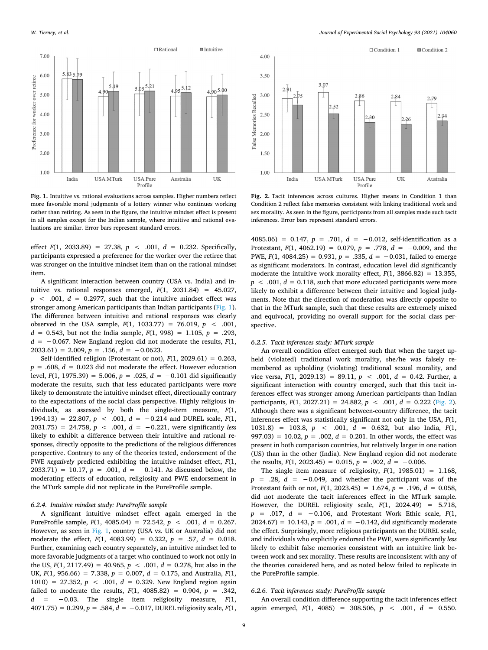<span id="page-8-0"></span>

**Fig. 1.** Intuitive vs. rational evaluations across samples. Higher numbers reflect more favorable moral judgments of a lottery winner who continues working rather than retiring. As seen in the figure, the intuitive mindset effect is present in all samples except for the Indian sample, where intuitive and rational evaluations are similar. Error bars represent standard errors.

effect *F*(1, 2033.89) = 27.38, *p* < .001, *d* = 0.232. Specifically, participants expressed a preference for the worker over the retiree that was stronger on the intuitive mindset item than on the rational mindset item.

A significant interaction between country (USA vs. India) and intuitive vs. rational responses emerged, *F*(1, 2031.84) = 45.027,  $p \sim .001, d = 0.2977$ , such that the intuitive mindset effect was stronger among American participants than Indian participants ([Fig. 1](#page-8-0)). The difference between intuitive and rational responses was clearly observed in the USA sample, *F*(1, 1033.77) = 76.019, *p* < .001,  $d = 0.543$ , but not the India sample,  $F(1, 998) = 1.105$ ,  $p = .293$ , *d* = −0.067. New England region did not moderate the results, *F*(1,  $2033.61$ ) = 2.009,  $p = .156$ ,  $d = -0.0623$ .

Self-identified religion (Protestant or not), *F*(1, 2029.61) = 0.263,  $p = .608$ ,  $d = 0.023$  did not moderate the effect. However education level, *F*(1, 1975.39) = 5.006, *p* = .025, *d* = −0.101 did significantly moderate the results, such that less educated participants were *more*  likely to demonstrate the intuitive mindset effect, directionally contrary to the expectations of the social class perspective. Highly religious individuals, as assessed by both the single-item measure, *F*(1, 1994.13) = 22.807, *p* < .001, *d* = −0.214 and DUREL scale, *F*(1, 2031.75) = 24.758, *p* < .001, *d* = −0.221, were significantly *less*  likely to exhibit a difference between their intuitive and rational responses, directly opposite to the predictions of the religious differences perspective. Contrary to any of the theories tested, endorsement of the PWE *negatively* predicted exhibiting the intuitive mindset effect, *F*(1, 2033.71) = 10.17, *p* = .001, *d* = −0.141. As discussed below, the moderating effects of education, religiosity and PWE endorsement in the MTurk sample did not replicate in the PureProfile sample.

## *6.2.4. Intuitive mindset study: PureProfile sample*

A significant intuitive mindset effect again emerged in the PureProfile sample, *F*(1, 4085.04) = 72.542, *p* < .001, *d* = 0.267. However, as seen in [Fig. 1,](#page-8-0) country (USA vs. UK or Australia) did not moderate the effect, *F*(1, 4083.99) = 0.322, *p* = .57, *d* = 0.018. Further, examining each country separately, an intuitive mindset led to more favorable judgments of a target who continued to work not only in the US,  $F(1, 2117.49) = 40.965$ ,  $p < .001$ ,  $d = 0.278$ , but also in the UK,  $F(1, 956.66) = 7.338$ ,  $p = 0.007$ ,  $d = 0.175$ , and Australia,  $F(1, 956.66) = 7.338$ ,  $p = 0.007$ ,  $d = 0.175$ , and Australia,  $F(1, 956.66) = 7.338$ ,  $p = 0.007$ ,  $d = 0.175$ , and Australia,  $F(1, 956.66) = 7.338$ 1010) = 27.352,  $p < .001$ ,  $d = 0.329$ . New England region again failed to moderate the results,  $F(1, 4085.82) = 0.904$ ,  $p = .342$ , *d* = −0.03. The single item religiosity measure, *F*(1, 4071.75) = 0.299, *p* = .584, *d* = −0.017, DUREL religiosity scale, *F*(1,

<span id="page-8-1"></span>

Fig. 2. Tacit inferences across cultures. Higher means in Condition 1 than Condition 2 reflect false memories consistent with linking traditional work and sex morality. As seen in the figure, participants from all samples made such tacit inferences. Error bars represent standard errors.

4085.06) = 0.147, *p* = .701, *d* = −0.012, self-identification as a Protestant, *F*(1, 4062.19) = 0.079, *p* = .778, *d* = −0.009, and the PWE, *F*(1, 4084.25) = 0.931, *p* = .335, *d* = −0.031, failed to emerge as significant moderators. In contrast, education level did significantly moderate the intuitive work morality effect, *F*(1, 3866.82) = 13.355,  $p < .001, d = 0.118$ , such that more educated participants were more likely to exhibit a difference between their intuitive and logical judgments. Note that the direction of moderation was directly opposite to that in the MTurk sample, such that these results are extremely mixed and equivocal, providing no overall support for the social class perspective.

## *6.2.5. Tacit inferences study: MTurk sample*

An overall condition effect emerged such that when the target upheld (violated) traditional work morality, she/he was falsely remembered as upholding (violating) traditional sexual morality, and vice versa,  $F(1, 2029.13) = 89.11$ ,  $p < .001$ ,  $d = 0.42$ . Further, a significant interaction with country emerged, such that this tacit inferences effect was stronger among American participants than Indian participants,  $F(1, 2027.21) = 24.882$ ,  $p < .001$ ,  $d = 0.222$  ([Fig. 2](#page-8-1)). Although there was a significant between-country difference, the tacit inferences effect was statistically significant not only in the USA, *F*(1, 1031.8) = 103.8, *p* < .001, *d* = 0.632, but also India, *F*(1, 997.03) = 10.02,  $p = .002$ ,  $d = 0.201$ . In other words, the effect was present in both comparison countries, but relatively larger in one nation (US) than in the other (India). New England region did not moderate the results,  $F(1, 2023.45) = 0.015$ ,  $p = .902$ ,  $d = -0.006$ .

The single item measure of religiosity,  $F(1, 1985.01) = 1.168$ , *p* = .28, *d* = −0.049, and whether the participant was of the Protestant faith or not, *F*(1, 2023.45) = 1.674, *p* = .196, *d* = 0.058, did not moderate the tacit inferences effect in the MTurk sample. However, the DUREL religiosity scale, *F*(1, 2024.49) = 5.718, *p* = .017, *d* = −0.106, and Protestant Work Ethic scale, *F*(1,  $2024.67$ ) = 10.143,  $p = .001$ ,  $d = -0.142$ , did significantly moderate the effect. Surprisingly, more religious participants on the DUREL scale, and individuals who explicitly endorsed the PWE, were significantly *less*  likely to exhibit false memories consistent with an intuitive link between work and sex morality. These results are inconsistent with any of the theories considered here, and as noted below failed to replicate in the PureProfile sample.

#### *6.2.6. Tacit inferences study: PureProfile sample*

An overall condition difference supporting the tacit inferences effect again emerged, *F*(1, 4085) = 308.506, *p* < .001, *d* = 0.550.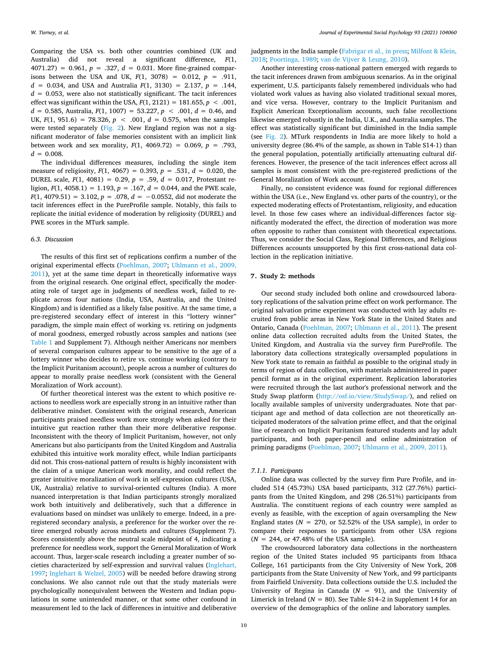Comparing the USA vs. both other countries combined (UK and Australia) did not reveal a significant difference, *F*(1, 4071.27) = 0.961,  $p = .327$ ,  $d = 0.031$ . More fine-grained comparisons between the USA and UK, *F*(1, 3078) = 0.012, *p* = .911, *d* = 0.034, and USA and Australia *F*(1, 3130) = 2.137, *p* = .144,  $d = 0.053$ , were also not statistically significant. The tacit inferences effect was significant within the USA, *F*(1, 2121) = 181.655, *p* < .001, *d* = 0.585, Australia, *F*(1, 1007) = 53.227, *p* < .001, *d* = 0.46, and UK,  $F(1, 951.6) = 78.326$ ,  $p < .001$ ,  $d = 0.575$ , when the samples were tested separately [\(Fig. 2\)](#page-8-1). New England region was not a significant moderator of false memories consistent with an implicit link between work and sex morality,  $F(1, 4069.72) = 0.069$ ,  $p = .793$ .  $d = 0.008$ .

The individual differences measures, including the single item measure of religiosity, *F*(1, 4067) = 0.393, *p* = .531, *d* = 0.020, the DUREL scale,  $F(1, 4081) = 0.29$ ,  $p = .59$ ,  $d = 0.017$ , Protestant religion,  $F(1, 4058.1) = 1.193$ ,  $p = .167$ ,  $d = 0.044$ , and the PWE scale, *F*(1, 4079.51) = 3.102, *p* = .078, *d* = −0.0552, did not moderate the tacit inferences effect in the PureProfile sample. Notably, this fails to replicate the initial evidence of moderation by religiosity (DUREL) and PWE scores in the MTurk sample.

#### *6.3. Discussion*

The results of this first set of replications confirm a number of the original experimental effects ([Poehlman, 2007](#page-17-0); [Uhlmann et al., 2009,](#page-17-26)  [2011\)](#page-17-26), yet at the same time depart in theoretically informative ways from the original research. One original effect, specifically the moderating role of target age in judgments of needless work, failed to replicate across four nations (India, USA, Australia, and the United Kingdom) and is identified as a likely false positive. At the same time, a pre-registered secondary effect of interest in this "lottery winner" paradigm, the simple main effect of working vs. retiring on judgments of moral goodness, emerged robustly across samples and nations (see [Table 1](#page-7-0) and Supplement 7). Although neither Americans nor members of several comparison cultures appear to be sensitive to the age of a lottery winner who decides to retire vs. continue working (contrary to the Implicit Puritanism account), people across a number of cultures do appear to morally praise needless work (consistent with the General Moralization of Work account).

Of further theoretical interest was the extent to which positive reactions to needless work are especially strong in an intuitive rather than deliberative mindset. Consistent with the original research, American participants praised needless work more strongly when asked for their intuitive gut reaction rather than their more deliberative response. Inconsistent with the theory of Implicit Puritanism, however, not only Americans but also participants from the United Kingdom and Australia exhibited this intuitive work morality effect, while Indian participants did not. This cross-national pattern of results is highly inconsistent with the claim of a unique American work morality, and could reflect the greater intuitive moralization of work in self-expression cultures (USA, UK, Australia) relative to survival-oriented cultures (India). A more nuanced interpretation is that Indian participants strongly moralized work both intuitively and deliberatively, such that a difference in evaluations based on mindset was unlikely to emerge. Indeed, in a preregistered secondary analysis, a preference for the worker over the retiree emerged robustly across mindsets and cultures (Supplement 7). Scores consistently above the neutral scale midpoint of 4, indicating a preference for needless work, support the General Moralization of Work account. Thus, larger-scale research including a greater number of societies characterized by self-expression and survival values [\(Inglehart,](#page-16-22)  [1997;](#page-16-22) [Inglehart & Welzel, 2005\)](#page-16-23) will be needed before drawing strong conclusions. We also cannot rule out that the study materials were psychologically nonequivalent between the Western and Indian populations in some unintended manner, or that some other confound in measurement led to the lack of differences in intuitive and deliberative

judgments in the India sample [\(Fabrigar et al., in press](#page-16-58); Milfont & Klein, [2018;](#page-16-59) [Poortinga, 1989;](#page-17-57) [van de Vijver & Leung, 2010](#page-17-58)).

Another interesting cross-national pattern emerged with regards to the tacit inferences drawn from ambiguous scenarios. As in the original experiment, U.S. participants falsely remembered individuals who had violated work values as having also violated traditional sexual mores, and vice versa. However, contrary to the Implicit Puritanism and Explicit American Exceptionalism accounts, such false recollections likewise emerged robustly in the India, U.K., and Australia samples. The effect was statistically significant but diminished in the India sample (see [Fig. 2](#page-8-1)). MTurk respondents in India are more likely to hold a university degree (86.4% of the sample, as shown in Table S14-1) than the general population, potentially artificially attenuating cultural differences. However, the presence of the tacit inferences effect across all samples is most consistent with the pre-registered predictions of the General Moralization of Work account.

Finally, no consistent evidence was found for regional differences within the USA (i.e., New England vs. other parts of the country), or the expected moderating effects of Protestantism, religiosity, and education level. In those few cases where an individual-differences factor significantly moderated the effect, the direction of moderation was more often opposite to rather than consistent with theoretical expectations. Thus, we consider the Social Class, Regional Differences, and Religious Differences accounts unsupported by this first cross-national data collection in the replication initiative.

### **7. Study 2: methods**

Our second study included both online and crowdsourced laboratory replications of the salvation prime effect on work performance. The original salvation prime experiment was conducted with lay adults recruited from public areas in New York State in the United States and Ontario, Canada [\(Poehlman, 2007;](#page-17-0) [Uhlmann et al., 2011](#page-17-2)). The present online data collection recruited adults from the United States, the United Kingdom, and Australia via the survey firm PureProfile. The laboratory data collections strategically oversampled populations in New York state to remain as faithful as possible to the original study in terms of region of data collection, with materials administered in paper pencil format as in the original experiment. Replication laboratories were recruited through the last author's professional network and the Study Swap platform [\(http://osf.io/view/StudySwap/](http://osf.io/view/StudySwap/)), and relied on locally available samples of university undergraduates. Note that participant age and method of data collection are not theoretically anticipated moderators of the salvation prime effect, and that the original line of research on Implicit Puritanism featured students and lay adult participants, and both paper-pencil and online administration of priming paradigms ([Poehlman, 2007](#page-17-0); [Uhlmann et al., 2009, 2011](#page-17-26)).

### *7.1.1. Participants*

Online data was collected by the survey firm Pure Profile, and included 514 (45.73%) USA based participants, 312 (27.76%) participants from the United Kingdom, and 298 (26.51%) participants from Australia. The constituent regions of each country were sampled as evenly as feasible, with the exception of again oversampling the New England states ( $N = 270$ , or 52.52% of the USA sample), in order to compare their responses to participants from other USA regions (*N* = 244, or 47.48% of the USA sample).

The crowdsourced laboratory data collections in the northeastern region of the United States included 95 participants from Ithaca College, 161 participants from the City University of New York, 208 participants from the State University of New York, and 99 participants from Fairfield University. Data collections outside the U.S. included the University of Regina in Canada  $(N = 91)$ , and the University of Limerick in Ireland ( $N = 80$ ). See Table S14–2 in Supplement 14 for an overview of the demographics of the online and laboratory samples.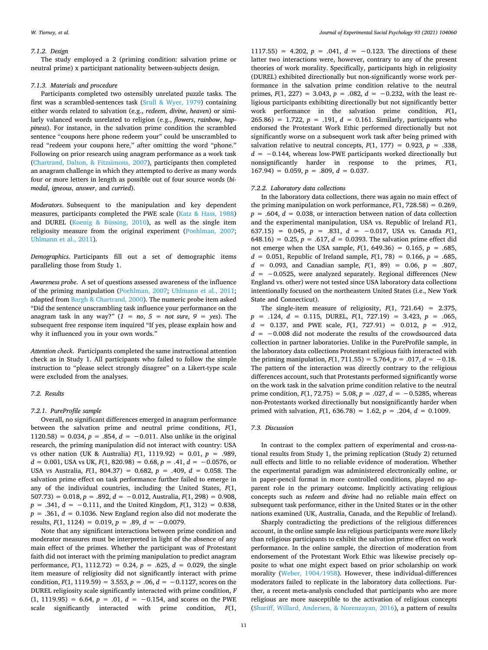#### *7.1.2. Design*

The study employed a 2 (priming condition: salvation prime or neutral prime) x participant nationality between-subjects design.

#### *7.1.3. Materials and procedure*

Participants completed two ostensibly unrelated puzzle tasks. The first was a scrambled-sentences task ([Srull & Wyer, 1979](#page-17-30)) containing either words related to salvation (e.g., *redeem*, *divine*, *heaven*) or similarly valanced words unrelated to religion (e.g., *flowers*, *rainbow*, *happiness*). For instance, in the salvation prime condition the scrambled sentence "coupons here phone redeem your" could be unscrambled to read "redeem your coupons here," after omitting the word "phone." Following on prior research using anagram performance as a work task ([Chartrand, Dalton, & Fitzsimons, 2007\)](#page-15-25), participants then completed an anagram challenge in which they attempted to derive as many words four or more letters in length as possible out of four source words (*bimodal*, *igneous*, *answer*, and *curried*).

*Moderators*. Subsequent to the manipulation and key dependent measures, participants completed the PWE scale [\(Katz & Hass, 1988\)](#page-16-50) and DUREL [\(Koenig & Büssing, 2010\)](#page-16-39), as well as the single item religiosity measure from the original experiment ([Poehlman, 2007](#page-17-0); [Uhlmann et al., 2011](#page-17-2)).

*Demographics*. Participants fill out a set of demographic items paralleling those from Study 1.

*Awareness probe*. A set of questions assessed awareness of the influence of the priming manipulation ([Poehlman, 2007](#page-17-0); [Uhlmann et al., 2011](#page-17-2); adapted from [Bargh & Chartrand, 2000\)](#page-15-26). The numeric probe item asked "Did the sentence unscrambling task influence your performance on the anagram task in any way?"  $(1 = no, 5 = not sure, 9 = yes)$ . The subsequent free response item inquired "If yes, please explain how and why it influenced you in your own words.'

*Attention check*. Participants completed the same instructional attention check as in Study 1. All participants who failed to follow the simple instruction to "please select strongly disagree" on a Likert-type scale were excluded from the analyses.

#### *7.2. Results*

#### *7.2.1. PureProfile sample*

Overall, no significant differences emerged in anagram performance between the salvation prime and neutral prime conditions, *F*(1, 1120.58) = 0.034,  $p = .854$ ,  $d = -0.011$ . Also unlike in the original research, the priming manipulation did not interact with country: USA vs other nation (UK & Australia) *F*(1, 1119.92) = 0.01, *p* = .989, *d* = 0.001, USA vs UK, *F*(1, 820.98) = 0.68, *p* = .41, *d* = −0.0576, or USA vs Australia, *F*(1, 804.37) = 0.682, *p* = .409, *d* = 0.058. The salvation prime effect on task performance further failed to emerge in any of the individual countries, including the United States, *F*(1,  $507.73$ ) = 0.018,  $p = .892$ ,  $d = -0.012$ , Australia,  $F(1, 298) = 0.908$ , *p* = .341, *d* = −0.111, and the United Kingdom, *F*(1, 312) = 0.838,  $p = .361, d = 0.1036$ . New England region also did not moderate the results,  $F(1, 1124) = 0.019$ ,  $p = .89$ ,  $d = -0.0079$ .

Note that any significant interactions between prime condition and moderator measures must be interpreted in light of the absence of any main effect of the primes. Whether the participant was of Protestant faith did not interact with the priming manipulation to predict anagram performance,  $F(1, 1112.72) = 0.24$ ,  $p = .625$ ,  $d = 0.029$ , the single item measure of religiosity did not significantly interact with prime condition,  $F(1, 1119.59) = 3.553$ ,  $p = .06$ ,  $d = -0.1127$ , scores on the DUREL religiosity scale significantly interacted with prime condition, *F*   $(1, 1119.95) = 6.64, p = .01, d = -0.154, and scores on the PWE$ scale significantly interacted with prime condition, *F*(1,

1117.55) = 4.202,  $p = .041$ ,  $d = -0.123$ . The directions of these latter two interactions were, however, contrary to any of the present theories of work morality. Specifically, participants high in religiosity (DUREL) exhibited directionally but non-significantly worse work performance in the salvation prime condition relative to the neutral primes,  $F(1, 227) = 3.043$ ,  $p = .082$ ,  $d = -0.232$ , with the least religious participants exhibiting directionally but not significantly better work performance in the salvation prime condition, *F*(1, 265.86) = 1.722,  $p = .191$ ,  $d = 0.161$ . Similarly, participants who endorsed the Protestant Work Ethic performed directionally but not significantly worse on a subsequent work task after being primed with salvation relative to neutral concepts,  $F(1, 177) = 0.923$ ,  $p = .338$ .  $d = -0.144$ , whereas low-PWE participants worked directionally but nonsignificantly harder in response to the primes, *F*(1,  $167.94 = 0.059, p = .809, d = 0.037.$ 

#### *7.2.2. Laboratory data collections*

In the laboratory data collections, there was again no main effect of the priming manipulation on work performance,  $F(1, 728.58) = 0.269$ ,  $p = .604$ ,  $d = 0.038$ , or interaction between nation of data collection and the experimental manipulation, USA vs. Republic of Ireland *F*(1, 637.15) = 0.045, *p* = .831, *d* = −0.017, USA vs. Canada *F*(1, 648.16) = 0.25,  $p = .617$ ,  $d = 0.0393$ . The salvation prime effect did not emerge when the USA sample, *F*(1, 649.36) = 0.165, *p* = .685, *d* = 0.051, Republic of Ireland sample, *F*(1, 78) = 0.166, *p* = .685, *d* = 0.093, and Canadian sample, *F*(1, 89) = 0.06, *p* = .807, *d* = −0.0525, were analyzed separately. Regional differences (New England vs. other) were not tested since USA laboratory data collections intentionally focused on the northeastern United States (i.e., New York State and Connecticut).

The single-item measure of religiosity, *F*(1, 721.64) = 2.375, *p* = .124, *d* = 0.115, DUREL, *F*(1, 727.19) = 3.423, *p* = .065, *d* = 0.137, and PWE scale, *F*(1, 727.91) = 0.012, *p* = .912, *d* = −0.008 did not moderate the results of the crowdsourced data collection in partner laboratories. Unlike in the PureProfile sample, in the laboratory data collections Protestant religious faith interacted with the priming manipulation,  $F(1, 711.55) = 5.764$ ,  $p = .017$ ,  $d = -0.18$ . The pattern of the interaction was directly contrary to the religious differences account, such that Protestants performed significantly worse on the work task in the salvation prime condition relative to the neutral prime condition,  $F(1, 72.75) = 5.08$ ,  $p = .027$ ,  $d = -0.5285$ , whereas non-Protestants worked directionally but nonsignificantly harder when primed with salvation, *F*(1, 636.78) = 1.62, *p* = .204, *d* = 0.1009.

## *7.3. Discussion*

In contrast to the complex pattern of experimental and cross-national results from Study 1, the priming replication (Study 2) returned null effects and little to no reliable evidence of moderation. Whether the experimental paradigm was administered electronically online, or in paper-pencil format in more controlled conditions, played no apparent role in the primary outcome. Implicitly activating religious concepts such as *redeem* and *divine* had no reliable main effect on subsequent task performance, either in the United States or in the other nations examined (UK, Australia, Canada, and the Republic of Ireland).

Sharply contradicting the predictions of the religious differences account, in the online sample *less* religious participants were *more* likely than religious participants to exhibit the salvation prime effect on work performance. In the online sample, the direction of moderation from endorsement of the Protestant Work Ethic was likewise precisely opposite to what one might expect based on prior scholarship on work morality [\(Weber, 1904/1958](#page-17-24)). However, these individual-differences moderators failed to replicate in the laboratory data collections. Further, a recent meta-analysis concluded that participants who are more religious are more susceptible to the activation of religious concepts ([Shariff, Willard, Andersen, & Norenzayan, 2016](#page-17-59)), a pattern of results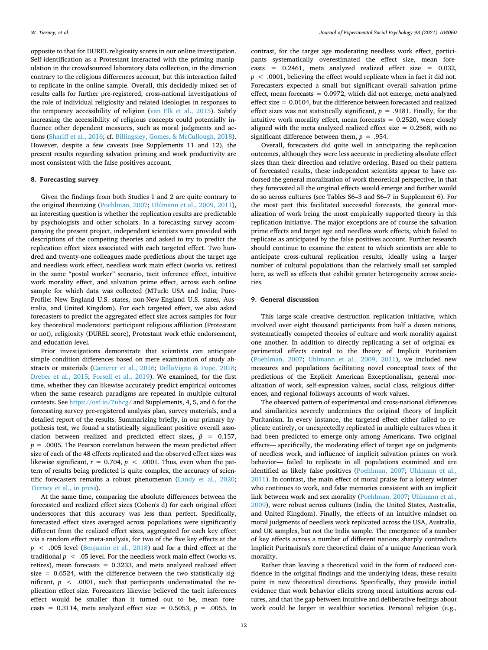opposite to that for DUREL religiosity scores in our online investigation. Self-identification as a Protestant interacted with the priming manipulation in the crowdsourced laboratory data collection, in the direction contrary to the religious differences account, but this interaction failed to replicate in the online sample. Overall, this decidedly mixed set of results calls for further pre-registered, cross-national investigations of the role of individual religiosity and related ideologies in responses to the temporary accessibility of religion [\(van Elk et al., 2015](#page-17-60)). Subtly increasing the accessibility of religious concepts could potentially influence other dependent measures, such as moral judgments and actions [\(Shariff et al., 2016;](#page-17-59) cf. [Billingsley, Gomes, & McCullough, 2018](#page-15-27)). However, despite a few caveats (see Supplements 11 and 12), the present results regarding salvation priming and work productivity are most consistent with the false positives account.

# **8. Forecasting survey**

Given the findings from both Studies 1 and 2 are quite contrary to the original theorizing ([Poehlman, 2007;](#page-17-0) [Uhlmann et al., 2009, 2011](#page-17-26)), an interesting question is whether the replication results are predictable by psychologists and other scholars. In a forecasting survey accompanying the present project, independent scientists were provided with descriptions of the competing theories and asked to try to predict the replication effect sizes associated with each targeted effect. Two hundred and twenty-one colleagues made predictions about the target age and needless work effect, needless work main effect (works vs. retires) in the same "postal worker" scenario, tacit inference effect, intuitive work morality effect, and salvation prime effect, across each online sample for which data was collected (MTurk: USA and India; Pure-Profile: New England U.S. states, non-New-England U.S. states, Australia, and United Kingdom). For each targeted effect, we also asked forecasters to predict the aggregated effect size across samples for four key theoretical moderators: participant religious affiliation (Protestant or not), religiosity (DUREL score), Protestant work ethic endorsement, and education level.

Prior investigations demonstrate that scientists can anticipate simple condition differences based on mere examination of study abstracts or materials [\(Camerer et al., 2016;](#page-15-6) [DellaVigna & Pope, 2018](#page-16-60); [Dreber et al., 2015;](#page-16-6) [Forsell et al., 2019\)](#page-16-61). We examined, for the first time, whether they can likewise accurately predict empirical outcomes when the same research paradigms are repeated in multiple cultural contexts. See<https://osf.io/7uhcg/>and Supplements, 4, 5, and 6 for the forecasting survey pre-registered analysis plan, survey materials, and a detailed report of the results. Summarizing briefly, in our primary hypothesis test, we found a statistically significant positive overall association between realized and predicted effect sizes,  $\beta$  = 0.157,  $p = .0005$ . The Pearson correlation between the mean predicted effect size of each of the 48 effects replicated and the observed effect sizes was likewise significant,  $r = 0.704$ ,  $p < .0001$ . Thus, even when the pattern of results being predicted is quite complex, the accuracy of scientific forecasters remains a robust phenomenon [\(Landy et al., 2020](#page-16-62); [Tierney et al., in press](#page-17-7)).

At the same time, comparing the absolute differences between the forecasted and realized effect sizes (Cohen's d) for each original effect underscores that this accuracy was less than perfect. Specifically, forecasted effect sizes averaged across populations were significantly different from the realized effect sizes, aggregated for each key effect via a random effect meta-analysis, for two of the five key effects at the *p* < .005 level ([Benjamin et al., 2018](#page-15-28)) and for a third effect at the traditional  $p < .05$  level. For the needless work main effect (works vs. retires), mean forecasts  $= 0.3233$ , and meta analyzed realized effect size  $= 0.6524$ , with the difference between the two statistically significant,  $p \sim .0001$ , such that participants underestimated the replication effect size. Forecasters likewise believed the tacit inferences effect would be smaller than it turned out to be, mean forecasts = 0.3114, meta analyzed effect size = 0.5053,  $p = .0055$ . In

contrast, for the target age moderating needless work effect, participants systematically overestimated the effect size, mean forecasts =  $0.2461$ , meta analyzed realized effect size =  $0.032$ , *p* < .0001, believing the effect would replicate when in fact it did not. Forecasters expected a small but significant overall salvation prime effect, mean forecasts =  $0.0972$ , which did not emerge, meta analyzed effect size = 0.0104, but the difference between forecasted and realized effect sizes was not statistically significant,  $p = .9181$ . Finally, for the intuitive work morality effect, mean forecasts  $= 0.2520$ , were closely aligned with the meta analyzed realized effect size  $= 0.2568$ , with no significant difference between them,  $p = .954$ .

Overall, forecasters did quite well in anticipating the replication outcomes, although they were less accurate in predicting absolute effect sizes than their direction and relative ordering. Based on their pattern of forecasted results, these independent scientists appear to have endorsed the general moralization of work theoretical perspective, in that they forecasted all the original effects would emerge and further would do so across cultures (see Tables S6–3 and S6–7 in Supplement 6). For the most part this facilitated successful forecasts, the general moralization of work being the most empirically supported theory in this replication initiative. The major exceptions are of course the salvation prime effects and target age and needless work effects, which failed to replicate as anticipated by the false positives account. Further research should continue to examine the extent to which scientists are able to anticipate cross-cultural replication results, ideally using a larger number of cultural populations than the relatively small set sampled here, as well as effects that exhibit greater heterogeneity across societies.

# **9. General discussion**

This large-scale creative destruction replication initiative, which involved over eight thousand participants from half a dozen nations, systematically competed theories of culture and work morality against one another. In addition to directly replicating a set of original experimental effects central to the theory of Implicit Puritanism ([Poehlman, 2007;](#page-17-0) [Uhlmann et al., 2009, 2011](#page-17-26)), we included new measures and populations facilitating novel conceptual tests of the predictions of the Explicit American Exceptionalism, general moralization of work, self-expression values, social class, religious differences, and regional folkways accounts of work values.

The observed pattern of experimental and cross-national differences and similarities severely undermines the original theory of Implicit Puritanism. In every instance, the targeted effect either failed to replicate entirely, or unexpectedly replicated in multiple cultures when it had been predicted to emerge only among Americans. Two original effects— specifically, the moderating effect of target age on judgments of needless work, and influence of implicit salvation primes on work behavior— failed to replicate in all populations examined and are identified as likely false positives [\(Poehlman, 2007](#page-17-0); [Uhlmann et al.,](#page-17-2)  [2011\)](#page-17-2). In contrast, the main effect of moral praise for a lottery winner who continues to work, and false memories consistent with an implicit link between work and sex morality [\(Poehlman, 2007;](#page-17-0) [Uhlmann et al.,](#page-17-26)  [2009\)](#page-17-26), were robust across cultures (India, the United States, Australia, and United Kingdom). Finally, the effects of an intuitive mindset on moral judgments of needless work replicated across the USA, Australia, and UK samples, but not the India sample. The emergence of a number of key effects across a number of different nations sharply contradicts Implicit Puritanism's core theoretical claim of a unique American work morality.

Rather than leaving a theoretical void in the form of reduced confidence in the original findings and the underlying ideas, these results point in new theoretical directions. Specifically, they provide initial evidence that work behavior elicits strong moral intuitions across cultures, and that the gap between intuitive and deliberative feelings about work could be larger in wealthier societies. Personal religion (e.g.,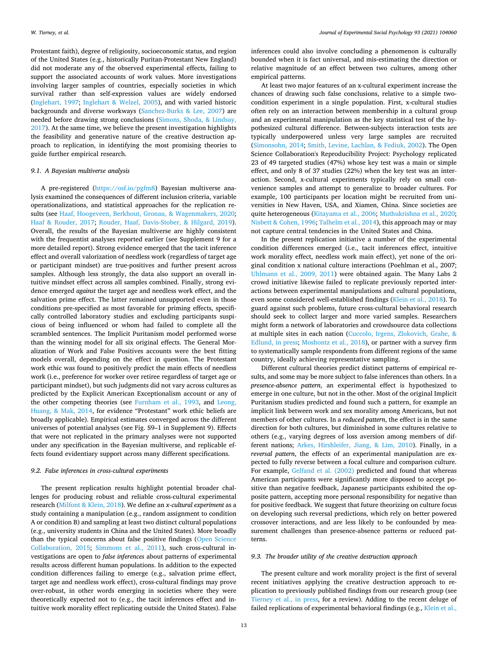Protestant faith), degree of religiosity, socioeconomic status, and region of the United States (e.g., historically Puritan-Protestant New England) did not moderate any of the observed experimental effects, failing to support the associated accounts of work values. More investigations involving larger samples of countries, especially societies in which survival rather than self-expression values are widely endorsed ([Inglehart, 1997](#page-16-22); [Inglehart & Welzel, 2005\)](#page-16-23), and with varied historic backgrounds and diverse workways ([Sanchez-Burks & Lee, 2007](#page-17-40)) are needed before drawing strong conclusions ([Simons, Shoda, & Lindsay,](#page-17-61)  [2017\)](#page-17-61). At the same time, we believe the present investigation highlights the feasibility and generative nature of the creative destruction approach to replication, in identifying the most promising theories to guide further empirical research.

## *9.1. A Bayesian multiverse analysis*

A pre-registered [\(https://osf.io/pgfm8](https://osf.io/pgfm8)) Bayesian multiverse analysis examined the consequences of different inclusion criteria, variable operationalizations, and statistical approaches for the replication results (see [Haaf, Hoogeveen, Berkhout, Gronau, & Wagenmakers, 2020](#page-16-63); [Haaf & Rouder, 2017](#page-16-64); [Rouder, Haaf, Davis-Stober, & Hilgard, 2019](#page-17-62)). Overall, the results of the Bayesian multiverse are highly consistent with the frequentist analyses reported earlier (see Supplement 9 for a more detailed report). Strong evidence emerged that the tacit inference effect and overall valorization of needless work (regardless of target age or participant mindset) are true-positives and further present across samples. Although less strongly, the data also support an overall intuitive mindset effect across all samples combined. Finally, strong evidence emerged *against* the target age and needless work effect, and the salvation prime effect. The latter remained unsupported even in those conditions pre-specified as most favorable for priming effects, specifically controlled laboratory studies and excluding participants suspicious of being influenced or whom had failed to complete all the scrambled sentences. The Implicit Puritanism model performed worse than the winning model for all six original effects. The General Moralization of Work and False Positives accounts were the best fitting models overall, depending on the effect in question. The Protestant work ethic was found to positively predict the main effects of needless work (i.e., preference for worker over retiree regardless of target age or participant mindset), but such judgments did not vary across cultures as predicted by the Explicit American Exceptionalism account or any of the other competing theories (see [Furnham et al., 1993,](#page-16-65) and [Leong,](#page-16-66)  [Huang, & Mak, 2014,](#page-16-66) for evidence "Protestant" work ethic beliefs are broadly applicable). Empirical estimates converged across the different universes of potential analyses (see Fig. S9–1 in Supplement 9). Effects that were not replicated in the primary analyses were not supported under any specification in the Bayesian multiverse, and replicable effects found evidentiary support across many different specifications.

### *9.2. False inferences in cross-cultural experiments*

The present replication results highlight potential broader challenges for producing robust and reliable cross-cultural experimental research [\(Milfont & Klein, 2018\)](#page-16-59). We define an *x*-*cultural experiment* as a study containing a manipulation (e.g., random assignment to condition A or condition B) and sampling at least two distinct cultural populations (e.g., university students in China and the United States). More broadly than the typical concerns about false positive findings (Open Science [Collaboration, 2015](#page-17-10); [Simmons et al., 2011](#page-17-38)), such cross-cultural investigations are open to *false inferences* about patterns of experimental results across different human populations. In addition to the expected condition differences failing to emerge (e.g., salvation prime effect, target age and needless work effect), cross-cultural findings may prove over-robust, in other words emerging in societies where they were theoretically expected not to (e.g., the tacit inferences effect and intuitive work morality effect replicating outside the United States). False

inferences could also involve concluding a phenomenon is culturally bounded when it is fact universal, and mis-estimating the direction or relative magnitude of an effect between two cultures, among other empirical patterns.

At least two major features of an x-cultural experiment increase the chances of drawing such false conclusions, relative to a simple twocondition experiment in a single population. First, x-cultural studies often rely on an interaction between membership in a cultural group and an experimental manipulation as the key statistical test of the hypothesized cultural difference. Between-subjects interaction tests are typically underpowered unless very large samples are recruited ([Simonsohn, 2014](#page-17-63); [Smith, Levine, Lachlan, & Fediuk, 2002\)](#page-17-64). The Open Science Collaboration's Reproducibility Project: Psychology replicated 23 of 49 targeted studies (47%) whose key test was a main or simple effect, and only 8 of 37 studies (22%) when the key test was an interaction. Second, x-cultural experiments typically rely on small convenience samples and attempt to generalize to broader cultures. For example, 100 participants per location might be recruited from universities in New Haven, USA, and Xiamen, China. Since societies are quite heterogeneous [\(Kitayama et al., 2006](#page-16-41); [Muthukrishna et al., 2020](#page-17-41); [Nisbett & Cohen, 1996;](#page-17-23) [Talhelm et al., 2014\)](#page-17-42), this approach may or may not capture central tendencies in the United States and China.

In the present replication initiative a number of the experimental condition differences emerged (i.e., tacit inferences effect, intuitive work morality effect, needless work main effect), yet none of the original condition x national culture interactions (Poehlman et al., 2007; [Uhlmann et al., 2009, 2011](#page-17-26)) were obtained again. The Many Labs 2 crowd initiative likewise failed to replicate previously reported interactions between experimental manipulations and cultural populations, even some considered well-established findings ([Klein et al., 2018\)](#page-16-38). To guard against such problems, future cross-cultural behavioral research should seek to collect larger and more varied samples. Researchers might form a network of laboratories and crowdsource data collections at multiple sites in each nation [\(Cuccolo, Irgens, Zlokovich, Grahe, &](#page-16-67)  [Edlund, in press;](#page-16-67) [Moshontz et al., 2018\)](#page-16-68), or partner with a survey firm to systematically sample respondents from different regions of the same country, ideally achieving representative sampling.

Different cultural theories predict distinct patterns of empirical results, and some may be more subject to false inferences than others. In a *presence*-*absence pattern*, an experimental effect is hypothesized to emerge in one culture, but not in the other. Most of the original Implicit Puritanism studies predicted and found such a pattern, for example an implicit link between work and sex morality among Americans, but not members of other cultures. In a *reduced pattern*, the effect is in the same direction for both cultures, but diminished in some cultures relative to others (e.g., varying degrees of loss aversion among members of different nations; [Arkes, Hirshleifer, Jiang, & Lim, 2010\)](#page-15-29). Finally, in a *reversal pattern*, the effects of an experimental manipulation are expected to fully reverse between a focal culture and comparison culture. For example, [Gelfand et al. \(2002\)](#page-16-69) predicted and found that whereas American participants were significantly more disposed to accept positive than negative feedback, Japanese participants exhibited the opposite pattern, accepting more personal responsibility for negative than for positive feedback. We suggest that future theorizing on culture focus on developing such reversal predictions, which rely on better powered crossover interactions, and are less likely to be confounded by measurement challenges than presence-absence patterns or reduced patterns.

## *9.3. The broader utility of the creative destruction approach*

The present culture and work morality project is the first of several recent initiatives applying the creative destruction approach to replication to previously published findings from our research group (see [Tierney et al., in press](#page-17-7), for a review). Adding to the recent deluge of failed replications of experimental behavioral findings (e.g., Klein et al.,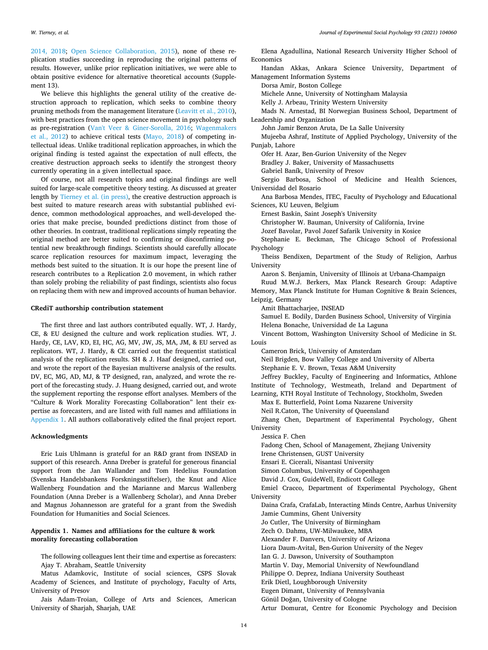[2014, 2018](#page-16-36); [Open Science Collaboration, 2015\)](#page-17-10), none of these replication studies succeeding in reproducing the original patterns of results. However, unlike prior replication initiatives, we were able to obtain positive evidence for alternative theoretical accounts (Supplement 13).

We believe this highlights the general utility of the creative destruction approach to replication, which seeks to combine theory pruning methods from the management literature [\(Leavitt et al., 2010](#page-16-20)), with best practices from the open science movement in psychology such as pre-registration [\(Van't Veer & Giner-Sorolla, 2016](#page-17-12); [Wagenmakers](#page-17-13)  [et al., 2012](#page-17-13)) to achieve critical tests [\(Mayo, 2018](#page-16-16)) of competing intellectual ideas. Unlike traditional replication approaches, in which the original finding is tested against the expectation of null effects, the creative destruction approach seeks to identify the strongest theory currently operating in a given intellectual space.

Of course, not all research topics and original findings are well suited for large-scale competitive theory testing. As discussed at greater length by [Tierney et al. \(in press\),](#page-17-7) the creative destruction approach is best suited to mature research areas with substantial published evidence, common methodological approaches, and well-developed theories that make precise, bounded predictions distinct from those of other theories. In contrast, traditional replications simply repeating the original method are better suited to confirming or disconfirming potential new breakthrough findings. Scientists should carefully allocate scarce replication resources for maximum impact, leveraging the methods best suited to the situation. It is our hope the present line of research contributes to a Replication 2.0 movement, in which rather than solely probing the reliability of past findings, scientists also focus on replacing them with new and improved accounts of human behavior.

# **CRediT authorship contribution statement**

The first three and last authors contributed equally. WT, J. Hardy, CE, & EU designed the culture and work replication studies. WT, J. Hardy, CE, LAV, KD, EI, HC, AG, MV, JW, JS, MA, JM, & EU served as replicators. WT, J. Hardy, & CE carried out the frequentist statistical analysis of the replication results. SH & J. Haaf designed, carried out, and wrote the report of the Bayesian multiverse analysis of the results. DV, EC, MG, AD, MJ, & TP designed, ran, analyzed, and wrote the report of the forecasting study. J. Huang designed, carried out, and wrote the supplement reporting the response effort analyses. Members of the "Culture & Work Morality Forecasting Collaboration" lent their expertise as forecasters, and are listed with full names and affiliations in [Appendix 1](#page-13-0). All authors collaboratively edited the final project report.

## **Acknowledgments**

Eric Luis Uhlmann is grateful for an R&D grant from INSEAD in support of this research. Anna Dreber is grateful for generous financial support from the Jan Wallander and Tom Hedelius Foundation (Svenska Handelsbankens Forskningsstiftelser), the Knut and Alice Wallenberg Foundation and the Marianne and Marcus Wallenberg Foundation (Anna Dreber is a Wallenberg Scholar), and Anna Dreber and Magnus Johannesson are grateful for a grant from the Swedish Foundation for Humanities and Social Sciences.

# <span id="page-13-0"></span>**Appendix 1. Names and affiliations for the culture & work morality forecasting collaboration**

The following colleagues lent their time and expertise as forecasters: Ajay T. Abraham, Seattle University

Matus Adamkovic, Institute of social sciences, CSPS Slovak Academy of Sciences, and Institute of psychology, Faculty of Arts, University of Presov

Jais Adam-Troian, College of Arts and Sciences, American University of Sharjah, Sharjah, UAE

Elena Agadullina, National Research University Higher School of Economics Handan Akkas, Ankara Science University, Department of Management Information Systems Dorsa Amir, Boston College Michele Anne, University of Nottingham Malaysia Kelly J. Arbeau, Trinity Western University Mads N. Arnestad, BI Norwegian Business School, Department of Leadership and Organization John Jamir Benzon Aruta, De La Salle University Mujeeba Ashraf, Institute of Applied Psychology, University of the Punjab, Lahore Ofer H. Azar, Ben-Gurion University of the Negev Bradley J. Baker, University of Massachusetts Gabriel Baník, University of Presov Sergio Barbosa, School of Medicine and Health Sciences, Universidad del Rosario Ana Barbosa Mendes, ITEC, Faculty of Psychology and Educational Sciences, KU Leuven, Belgium Ernest Baskin, Saint Joseph's University Christopher W. Bauman, University of California, Irvine Jozef Bavolar, Pavol Jozef Safarik University in Kosice Stephanie E. Beckman, The Chicago School of Professional Psychology Theiss Bendixen, Department of the Study of Religion, Aarhus University Aaron S. Benjamin, University of Illinois at Urbana-Champaign Ruud M.W.J. Berkers, Max Planck Research Group: Adaptive Memory, Max Planck Institute for Human Cognitive & Brain Sciences, Leipzig, Germany Amit Bhattacharjee, INSEAD Samuel E. Bodily, Darden Business School, University of Virginia Helena Bonache, Universidad de La Laguna Vincent Bottom, Washington University School of Medicine in St. Louis Cameron Brick, University of Amsterdam Neil Brigden, Bow Valley College and University of Alberta Stephanie E. V. Brown, Texas A&M University Jeffrey Buckley, Faculty of Engineering and Informatics, Athlone Institute of Technology, Westmeath, Ireland and Department of Learning, KTH Royal Institute of Technology, Stockholm, Sweden Max E. Butterfield, Point Loma Nazarene University Neil R.Caton, The University of Queensland Zhang Chen, Department of Experimental Psychology, Ghent University Jessica F. Chen Fadong Chen, School of Management, Zhejiang University Irene Christensen, GUST University Ensari E. Cicerali, Nisantasi University Simon Columbus, University of Copenhagen David J. Cox, GuideWell, Endicott College Emiel Cracco, Department of Experimental Psychology, Ghent University Daina Crafa, CrafaLab, Interacting Minds Centre, Aarhus University Jamie Cummins, Ghent University Jo Cutler, The University of Birmingham Zech O. Dahms, UW-Milwaukee, MBA Alexander F. Danvers, University of Arizona Liora Daum-Avital, Ben-Gurion University of the Negev Ian G. J. Dawson, University of Southampton Martin V. Day, Memorial University of Newfoundland Philippe O. Deprez, Indiana University Southeast Erik Dietl, Loughborough University Eugen Dimant, University of Pennsylvania Gönül Doğan, University of Cologne

Artur Domurat, Centre for Economic Psychology and Decision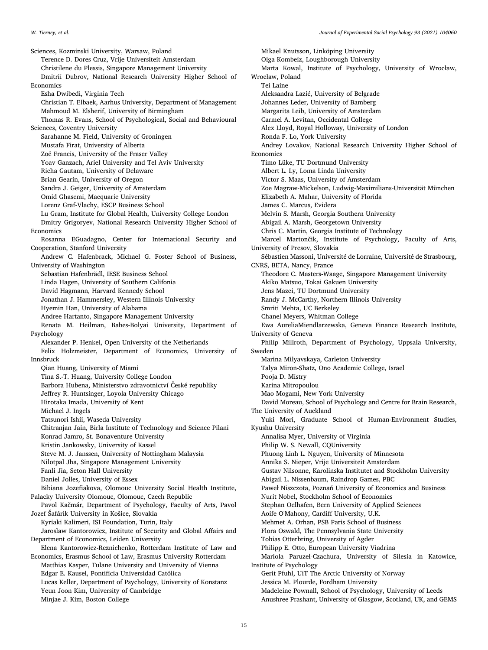Sciences, Kozminski University, Warsaw, Poland Terence D. Dores Cruz, Vrije Universiteit Amsterdam Christilene du Plessis, Singapore Management University Dmitrii Dubrov, National Research University Higher School of Economics Esha Dwibedi, Virginia Tech Christian T. Elbaek, Aarhus University, Department of Management Mahmoud M. Elsherif, University of Birmingham Thomas R. Evans, School of Psychological, Social and Behavioural Sciences, Coventry University Sarahanne M. Field, University of Groningen Mustafa Firat, University of Alberta Zoë Francis, University of the Fraser Valley Yoav Ganzach, Ariel University and Tel Aviv University Richa Gautam, University of Delaware Brian Gearin, University of Oregon Sandra J. Geiger, University of Amsterdam Omid Ghasemi, Macquarie University Lorenz Graf-Vlachy, ESCP Business School Lu Gram, Institute for Global Health, University College London Dmitry Grigoryev, National Research University Higher School of Economics Rosanna EGuadagno, Center for International Security and Cooperation, Stanford University Andrew C. Hafenbrack, Michael G. Foster School of Business, University of Washington Sebastian Hafenbrädl, IESE Business School Linda Hagen, University of Southern Califonia David Hagmann, Harvard Kennedy School Jonathan J. Hammersley, Western Illinois University Hyemin Han, University of Alabama Andree Hartanto, Singapore Management University Renata M. Heilman, Babes-Bolyai University, Department of Psychology Alexander P. Henkel, Open University of the Netherlands Felix Holzmeister, Department of Economics, University of Innsbruck Qian Huang, University of Miami Tina S.-T. Huang, University College London Barbora Hubena, Ministerstvo zdravotnictví České republiky Jeffrey R. Huntsinger, Loyola University Chicago Hirotaka Imada, University of Kent Michael J. Ingels Tatsunori Ishii, Waseda University Chitranjan Jain, Birla Institute of Technology and Science Pilani Konrad Jamro, St. Bonaventure University Kristin Jankowsky, University of Kassel Steve M. J. Janssen, University of Nottingham Malaysia Nilotpal Jha, Singapore Management University Fanli Jia, Seton Hall University Daniel Jolles, University of Essex Bibiana Jozefiakova, Olomouc University Social Health Institute, Palacky University Olomouc, Olomouc, Czech Republic Pavol Kačmár, Department of Psychology, Faculty of Arts, Pavol Jozef Šafárik University in Košice, Slovakia Kyriaki Kalimeri, ISI Foundation, Turin, Italy Jaroslaw Kantorowicz, Institute of Security and Global Affairs and Department of Economics, Leiden University Elena Kantorowicz-Reznichenko, Rotterdam Institute of Law and Economics, Erasmus School of Law, Erasmus University Rotterdam Matthias Kasper, Tulane University and University of Vienna Edgar E. Kausel, Pontificia Universidad Católica Lucas Keller, Department of Psychology, University of Konstanz Yeun Joon Kim, University of Cambridge Minjae J. Kim, Boston College

Mikael Knutsson, Linköping University Olga Kombeiz, Loughborough University Marta Kowal, Institute of Psychology, University of Wrocław, Wrocław, Poland Tei Laine Aleksandra Lazić, University of Belgrade Johannes Leder, University of Bamberg Margarita Leib, University of Amsterdam Carmel A. Levitan, Occidental College Alex Lloyd, Royal Holloway, University of London Ronda F. Lo, York University Andrey Lovakov, National Research University Higher School of Economics Timo Lüke, TU Dortmund University Albert L. Ly, Loma Linda University Victor S. Maas, University of Amsterdam Zoe Magraw-Mickelson, Ludwig-Maximilians-Universität München Elizabeth A. Mahar, University of Florida James C. Marcus, Evidera Melvin S. Marsh, Georgia Southern University Abigail A. Marsh, Georgetown University Chris C. Martin, Georgia Institute of Technology Marcel Martončik, Institute of Psychology, Faculty of Arts, University of Presov, Slovakia Sébastien Massoni, Université de Lorraine, Université de Strasbourg, CNRS, BETA, Nancy, France Theodore C. Masters-Waage, Singapore Management University Akiko Matsuo, Tokai Gakuen University Jens Mazei, TU Dortmund University Randy J. McCarthy, Northern Illinois University Smriti Mehta, UC Berkeley Chanel Meyers, Whitman College Ewa AureliaMiendlarzewska, Geneva Finance Research Institute, University of Geneva Philip Millroth, Department of Psychology, Uppsala University, Sweden Marina Milyavskaya, Carleton University Talya Miron-Shatz, Ono Academic College, Israel Pooja D. Mistry Karina Mitropoulou Mao Mogami, New York University David Moreau, School of Psychology and Centre for Brain Research, The University of Auckland Yuki Mori, Graduate School of Human-Environment Studies, Kyushu University Annalisa Myer, University of Virginia Philip W. S. Newall, CQUniversity Phuong Linh L. Nguyen, University of Minnesota Annika S. Nieper, Vrije Universiteit Amsterdam Gustav Nilsonne, Karolinska Institutet and Stockholm University Abigail L. Nissenbaum, Raindrop Games, PBC Paweł Niszczota, Poznań University of Economics and Business Nurit Nobel, Stockholm School of Economics Stephan Oelhafen, Bern University of Applied Sciences Aoife O'Mahony, Cardiff University, U.K. Mehmet A. Orhan, PSB Paris School of Business Flora Oswald, The Pennsylvania State University Tobias Otterbring, University of Agder Philipp E. Otto, European University Viadrina Mariola Paruzel-Czachura, University of Silesia in Katowice, Institute of Psychology Gerit Pfuhl, UiT The Arctic University of Norway Jessica M. Plourde, Fordham University Madeleine Pownall, School of Psychology, University of Leeds

Anushree Prashant, University of Glasgow, Scotland, UK, and GEMS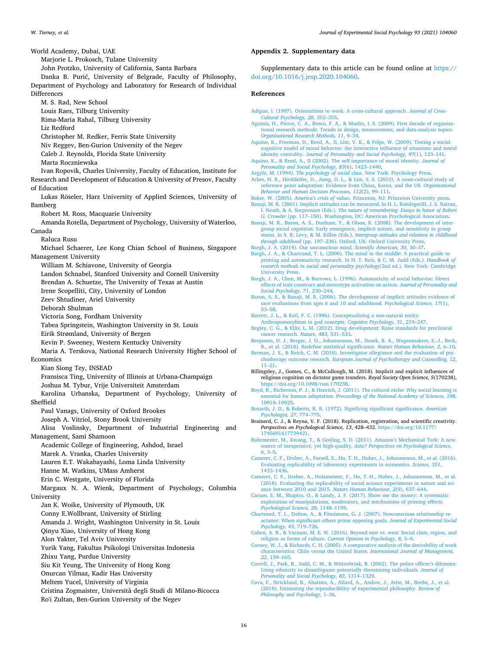World Academy, Dubai, UAE

Marjorie L. Prokosch, Tulane University

John Protzko, University of California, Santa Barbara

Danka B. Purić, University of Belgrade, Faculty of Philosophy, Department of Psychology and Laboratory for Research of Individual Differences

M. S. Rad, New School

Louis Raes, Tilburg University Rima-Maria Rahal, Tilburg University

Liz Redford

Christopher M. Redker, Ferris State University

Niv Reggev, Ben-Gurion University of the Negev

Caleb J. Reynolds, Florida State University

Marta Roczniewska

Ivan Ropovik, Charles University, Faculty of Education, Institute for Research and Development of Education & University of Presov, Faculty of Education

Lukas Röseler, Harz University of Applied Sciences, University of Bamberg

Robert M. Ross, Macquarie University

Amanda Rotella, Department of Psychology, University of Waterloo, Canada

Raluca Rusu

Michael Schaerer, Lee Kong Chian School of Business, Singapore Management University

William M. Schiavone, University of Georgia

Landon Schnabel, Stanford University and Cornell University

Brendan A. Schuetze, The University of Texas at Austin

Irene Scopelliti, City, University of London

Zeev Shtudiner, Ariel University

Deborah Shulman

Victoria Song, Fordham University

Tabea Springstein, Washington University in St. Louis

Eirik Strømland, University of Bergen

Kevin P. Sweeney, Western Kentucky University

Maria A. Terskova, National Research University Higher School of Economics

Kian Siong Tey, INSEAD

Fransisca Ting, University of Illinois at Urbana-Champaign

Joshua M. Tybur, Vrije Universiteit Amsterdam

Karolina Urbanska, Department of Psychology, University of Sheffield

Paul Vanags, University of Oxford Brookes

Joseph A. Vitriol, Stony Brook University

Alisa Voslinsky, Department of Industrial Engineering and Management, Sami Shamoon

Academic College of Engineering, Ashdod, Israel

Marek A. Vranka, Charles University

Lauren E.T. Wakabayashi, Loma Linda University

Hanne M. Watkins, UMass Amherst

Erin C. Westgate, University of Florida

Margaux N. A. Wienk, Department of Psychology, Columbia University

Jan K. Woike, University of Plymouth, UK

Conny E.Wollbrant, University of Stirling

Amanda J. Wright, Washington University in St. Louis

Qinyu Xiao, University of Hong Kong

Alon Yakter, Tel Aviv University

Yurik Yang, Fakultas Psikologi Universitas Indonesia

Zhixu Yang, Purdue University

Siu Kit Yeung, The University of Hong Kong

Onurcan Yilmaz, Kadir Has University

Meltem Yucel, University of Virginia

Cristina Zogmaister, Università degli Studi di Milano-Bicocca

Ro'i Zultan, Ben-Gurion University of the Negev

### **Appendix 2. Supplementary data**

Supplementary data to this article can be found online at [https://](https://doi.org/10.1016/j.jesp.2020.104060)  [doi.org/10.1016/j.jesp.2020.104060](https://doi.org/10.1016/j.jesp.2020.104060).

#### **References**

- <span id="page-15-21"></span>[Adigun, I. \(1997\). Orientations to work: A cross-cultural approach.](http://refhub.elsevier.com/S0022-1031(20)30400-5/rf0005) *Journal of Cross-[Cultural Psychology, 28](http://refhub.elsevier.com/S0022-1031(20)30400-5/rf0005)*, 352–355.
- <span id="page-15-9"></span>[Aguinis, H., Pierce, C. A., Bosco, F. A., & Muslin, I. S. \(2009\). First decade of organiza](http://refhub.elsevier.com/S0022-1031(20)30400-5/rf0010)[tional research methods: Trends in design, measurement, and data-analysis topics.](http://refhub.elsevier.com/S0022-1031(20)30400-5/rf0010) *[Organizational Research Methods, 11](http://refhub.elsevier.com/S0022-1031(20)30400-5/rf0010)*, 9–34.

<span id="page-15-22"></span>[Aquino, K., Freeman, D., Reed, A., II, Lim, V. K., & Felps, W. \(2009\). Testing a social](http://refhub.elsevier.com/S0022-1031(20)30400-5/rf0015)[cognitive model of moral behavior: the interactive influence of situations and moral](http://refhub.elsevier.com/S0022-1031(20)30400-5/rf0015)  identity centrality. *[Journal of Personality and Social Psychology, 97](http://refhub.elsevier.com/S0022-1031(20)30400-5/rf0015)*(1), 123–141.

<span id="page-15-23"></span>[Aquino, K., & Reed, A., II \(2002\). The self-importance of moral identity.](http://refhub.elsevier.com/S0022-1031(20)30400-5/rf0020) *Journal of [Personality and Social Psychology, 83](http://refhub.elsevier.com/S0022-1031(20)30400-5/rf0020)*(6), 1423–1440.

<span id="page-15-19"></span>Argyle, M. (1994). *[The psychology of social class.](http://refhub.elsevier.com/S0022-1031(20)30400-5/rf0025)* New York: Psychology Press.

<span id="page-15-29"></span>[Arkes, H. R., Hirshleifer, D., Jiang, D. L., & Lim, S. S. \(2010\). A cross-cultural study of](http://refhub.elsevier.com/S0022-1031(20)30400-5/rf0030)  [reference point adaptation: Evidence from China, Korea, and the US.](http://refhub.elsevier.com/S0022-1031(20)30400-5/rf0030) *Organizational* 

<span id="page-15-1"></span>*[Behavior and Human Decision Processes, 112](http://refhub.elsevier.com/S0022-1031(20)30400-5/rf0030)*(2), 99–111. Baker, W. (2005). *America's crisis of values.* [Princeton, NJ: Princeton University press](http://refhub.elsevier.com/S0022-1031(20)30400-5/rf0035).

<span id="page-15-0"></span>[Banaji, M. R. \(2001\). Implicit attitudes can be measured. In H. L. RoedegerIII, J. S. Nairne,](http://refhub.elsevier.com/S0022-1031(20)30400-5/rf0040)  I. Neath, & A. Surprenant (Eds.). *[The nature of remembering: Essays in honor of Robert](http://refhub.elsevier.com/S0022-1031(20)30400-5/rf0040)  G. Crowder* [\(pp. 117–150\). Washington, DC: American Psychological Association.](http://refhub.elsevier.com/S0022-1031(20)30400-5/rf0040)

<span id="page-15-17"></span>[Banaji, M. R., Baron, A. S., Dunham, Y., & Olson, K. \(2008\). The development of inter](http://refhub.elsevier.com/S0022-1031(20)30400-5/rf0045)[group social cognition: Early emergence, implicit nature, and sensitivity to group](http://refhub.elsevier.com/S0022-1031(20)30400-5/rf0045)  status. In S. R. Levy, & M. Killen (Eds.). *[Intergroup attitudes and relations in childhood](http://refhub.elsevier.com/S0022-1031(20)30400-5/rf0045)  through adulthood* [\(pp. 197–236\). Oxford, UK: Oxford University Press.](http://refhub.elsevier.com/S0022-1031(20)30400-5/rf0045)

<span id="page-15-12"></span>[Bargh, J. A. \(2014\). Our unconscious mind.](http://refhub.elsevier.com/S0022-1031(20)30400-5/rf0050) *Scientific American, 30*, 30–37. [Bargh, J. A., & Chartrand, T. L. \(2000\). The mind in the middle: A practical guide to](http://refhub.elsevier.com/S0022-1031(20)30400-5/rf0055)

<span id="page-15-26"></span>[priming and automaticity research. In H. T. Reis, & C. M. Judd \(Eds.\).](http://refhub.elsevier.com/S0022-1031(20)30400-5/rf0055) *Handbook of [research methods in social and personality psychology](http://refhub.elsevier.com/S0022-1031(20)30400-5/rf0055)*(2nd ed.). New York: Cambridge [University Press](http://refhub.elsevier.com/S0022-1031(20)30400-5/rf0055).

<span id="page-15-13"></span>[Bargh, J. A., Chen, M., & Burrows, L. \(1996\). Automaticity of social behavior: Direct](http://refhub.elsevier.com/S0022-1031(20)30400-5/rf0060)  [effects of trait construct and stereotype activation on action.](http://refhub.elsevier.com/S0022-1031(20)30400-5/rf0060) *Journal of Personality and [Social Psychology, 71](http://refhub.elsevier.com/S0022-1031(20)30400-5/rf0060)*, 230–244.

<span id="page-15-18"></span>[Baron, A. S., & Banaji, M. R. \(2006\). The development of implicit attitudes evidence of](http://refhub.elsevier.com/S0022-1031(20)30400-5/rf0065) [race evaluations from ages 6 and 10 and adulthood.](http://refhub.elsevier.com/S0022-1031(20)30400-5/rf0065) *Psychological Science, 17*(1), [53–58](http://refhub.elsevier.com/S0022-1031(20)30400-5/rf0065).

<span id="page-15-14"></span>[Barrett, J. L., & Keil, F. C. \(1996\). Conceptualizing a non-natural entity:](http://refhub.elsevier.com/S0022-1031(20)30400-5/rf0070)

<span id="page-15-5"></span>[Anthropomorphism in god concepts.](http://refhub.elsevier.com/S0022-1031(20)30400-5/rf0070) *Cognitive Psychology, 31*, 219–247. [Begley, C. G., & Ellis, L. M. \(2012\). Drug development: Raise standards for preclinical](http://refhub.elsevier.com/S0022-1031(20)30400-5/rf0075)

<span id="page-15-28"></span>[cancer research.](http://refhub.elsevier.com/S0022-1031(20)30400-5/rf0075) *Nature, 483*, 531–533. [Benjamin, D. J., Berger, J. O., Johannesson, M., Nosek, B. A., Wagenmakers, E.-J., Berk,](http://refhub.elsevier.com/S0022-1031(20)30400-5/rf0080)  [R., et al. \(2018\). Redefine statistical significance.](http://refhub.elsevier.com/S0022-1031(20)30400-5/rf0080) *Nature Human Behaviour, 2*, 6–10.

<span id="page-15-4"></span>[Berman, J. S., & Reich, C. M. \(2010\). Investigator allegiance and the evaluation of psy](http://refhub.elsevier.com/S0022-1031(20)30400-5/rf0085)chotherapy outcome research. *[European Journal of Psychotherapy and Counselling, 12](http://refhub.elsevier.com/S0022-1031(20)30400-5/rf0085)*, [11–21](http://refhub.elsevier.com/S0022-1031(20)30400-5/rf0085).

<span id="page-15-27"></span>Billingsley, J., Gomes, C., & McCullough, M. (2018). Implicit and explicit influences of religious cognition on dictator game transfers. *Royal Society Open Science, 5*(170238), [https://doi.org/10.1098/rsos.170238.](https://doi.org/10.1098/rsos.170238)

<span id="page-15-11"></span>[Boyd, R., Richerson, P. J., & Henrich, J. \(2011\). The cultural niche: Why social learning is](http://refhub.elsevier.com/S0022-1031(20)30400-5/rf202011242222456345)  essential for human adaptation. *[Proceedings of the National Academy of Sciences, 108](http://refhub.elsevier.com/S0022-1031(20)30400-5/rf202011242222456345)*, [10918–10925.](http://refhub.elsevier.com/S0022-1031(20)30400-5/rf202011242222456345)

<span id="page-15-3"></span>[Bozarth, J. D., & Roberts, R. R. \(1972\). Signifying significant significance.](http://refhub.elsevier.com/S0022-1031(20)30400-5/rf0095) *American [Psychologist, 27](http://refhub.elsevier.com/S0022-1031(20)30400-5/rf0095)*, 774–775.

<span id="page-15-2"></span>Brainerd, C. J., & Reyna, V. F. (2018). Replication, registration, and scientific creativity. *Perspectives on Psychological Science, 13*, 428–432. [https://doi.org/10.1177/](https://doi.org/10.1177/1745691617739421)  [1745691617739421.](https://doi.org/10.1177/1745691617739421)

<span id="page-15-24"></span>[Buhrmester, M., Kwang, T., & Gosling, S. D. \(2011\). Amazon's Mechanical Turk: A new](http://refhub.elsevier.com/S0022-1031(20)30400-5/rf0105) [source of inexpensive, yet high-quality, data?](http://refhub.elsevier.com/S0022-1031(20)30400-5/rf0105) *Perspectives on Psychological Science, 6*[, 3–5](http://refhub.elsevier.com/S0022-1031(20)30400-5/rf0105).

<span id="page-15-6"></span>[Camerer, C. F., Dreber, A., Forsell, E., Ho, T. H., Huber, J., Johannesson, M., et al. \(2016\).](http://refhub.elsevier.com/S0022-1031(20)30400-5/rf0110)  [Evaluating replicability of laboratory experiments in economics.](http://refhub.elsevier.com/S0022-1031(20)30400-5/rf0110) *Science, 351*, [1433–1436](http://refhub.elsevier.com/S0022-1031(20)30400-5/rf0110).

<span id="page-15-8"></span>[Camerer, C. F., Dreber, A., Holzmeister, F., Ho, T.-H., Huber, J., Johannesson, M., et al.](http://refhub.elsevier.com/S0022-1031(20)30400-5/rf0115) [\(2018\). Evaluating the replicability of social science experiments in nature and sci](http://refhub.elsevier.com/S0022-1031(20)30400-5/rf0115)[ence between 2010 and 2015.](http://refhub.elsevier.com/S0022-1031(20)30400-5/rf0115) *Nature Human Behaviour, 2*(9), 637–644.

<span id="page-15-15"></span>[Caruso, E. M., Shapira, O., & Landy, J. F. \(2017\). Show me the money: A systematic](http://refhub.elsevier.com/S0022-1031(20)30400-5/rf0120)  [exploration of manipulations, moderators, and mechanisms of priming effects.](http://refhub.elsevier.com/S0022-1031(20)30400-5/rf0120)  *[Psychological Science, 28](http://refhub.elsevier.com/S0022-1031(20)30400-5/rf0120)*, 1148–1159.

<span id="page-15-25"></span>[Chartrand, T. L., Dalton, A., & Fitzsimons, G. J. \(2007\). Nonconscious relationship re](http://refhub.elsevier.com/S0022-1031(20)30400-5/rf0125)[actance: When significant others prime opposing goals.](http://refhub.elsevier.com/S0022-1031(20)30400-5/rf0125) *Journal of Experimental Social [Psychology, 43](http://refhub.elsevier.com/S0022-1031(20)30400-5/rf0125)*, 719–726.

<span id="page-15-16"></span>[Cohen, A. B., & Varnum, M. E. W. \(2016\). Beyond east vs. west: Social class, region, and](http://refhub.elsevier.com/S0022-1031(20)30400-5/rf0130)  religion as forms of culture. *[Current Opinion in Psychology, 8](http://refhub.elsevier.com/S0022-1031(20)30400-5/rf0130)*, 5–9.

<span id="page-15-20"></span>[Corney, W. J., & Richards, C. H. \(2005\). A comparative analysis of the desirability of work](http://refhub.elsevier.com/S0022-1031(20)30400-5/rf0135)  [characteristics: Chile versus the United States.](http://refhub.elsevier.com/S0022-1031(20)30400-5/rf0135) *International Journal of Management, 22*[, 159–165](http://refhub.elsevier.com/S0022-1031(20)30400-5/rf0135).

<span id="page-15-10"></span>[Correll, J., Park, B., Judd, C. M., & Wittenbrink, B. \(2002\). The police officer's dilemma:](http://refhub.elsevier.com/S0022-1031(20)30400-5/rf0140)  [Using ethnicity to disambiguate potentially threatening individuals.](http://refhub.elsevier.com/S0022-1031(20)30400-5/rf0140) *Journal of [Personality and Social Psychology, 83](http://refhub.elsevier.com/S0022-1031(20)30400-5/rf0140)*, 1314–1329.

<span id="page-15-7"></span>[Cova, F., Strickland, B., Abatista, A., Allard, A., Andow, J., Attie, M., Beebe, J., et al.](http://refhub.elsevier.com/S0022-1031(20)30400-5/rf0145)  [\(2018\). Estimating the reproducibility of experimental philosophy.](http://refhub.elsevier.com/S0022-1031(20)30400-5/rf0145) *Review of [Philosophy and Psychology,](http://refhub.elsevier.com/S0022-1031(20)30400-5/rf0145)* 1–36.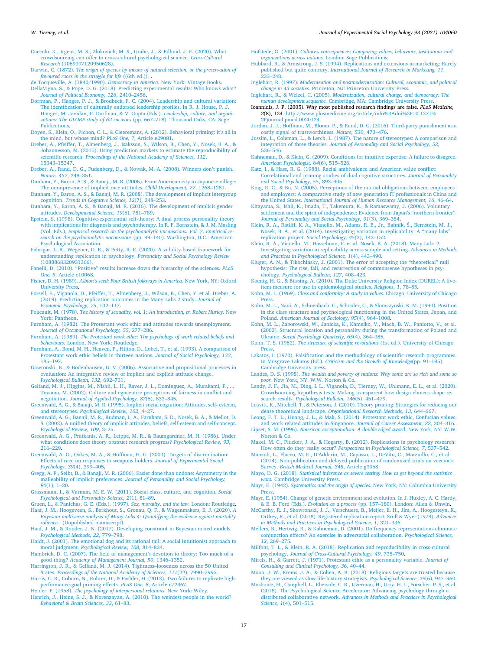<span id="page-16-67"></span>[Cuccolo, K., Irgens, M. S., Zlokovich, M. S., Grahe, J., & Edlund, J. E. \(2020\). What](http://refhub.elsevier.com/S0022-1031(20)30400-5/rf0150) [crowdsourcing can offer to cross-cultural psychological science.](http://refhub.elsevier.com/S0022-1031(20)30400-5/rf0150) *Cross-Cultural Research* [\(1069397120950628\).](http://refhub.elsevier.com/S0022-1031(20)30400-5/rf0150)

- <span id="page-16-7"></span>Darwin, C. (1872). *The origin of species by means of natural selection, or the preservation of [favoured races in the struggle for life](http://refhub.elsevier.com/S0022-1031(20)30400-5/rf202011242159529793)* ((6th ed.)). .
- <span id="page-16-60"></span><span id="page-16-2"></span>[de Tocqueville, A. \(1840/1990\).](http://refhub.elsevier.com/S0022-1031(20)30400-5/rf0155) *Democracy in America.* New York: Vintage Books. [DellaVigna, S., & Pope, D. G. \(2018\). Predicting experimental results: Who knows what?](http://refhub.elsevier.com/S0022-1031(20)30400-5/rf0160)  *[Journal of Political Economy, 126](http://refhub.elsevier.com/S0022-1031(20)30400-5/rf0160)*, 2410–2456.
- <span id="page-16-48"></span>[Dorfman, P., Hanges, P. J., & Brodbeck, F. C. \(2004\). Leadership and cultural variation:](http://refhub.elsevier.com/S0022-1031(20)30400-5/rf0165)  [The identification of culturally endorsed leadership profiles. In R. J. House, P. J.](http://refhub.elsevier.com/S0022-1031(20)30400-5/rf0165)  [Hanges, M. Javidan, P. Dorfman, & V. Gupta \(Eds.\).](http://refhub.elsevier.com/S0022-1031(20)30400-5/rf0165) *Leadership, culture, and organi*zations: The GLOBE study of 62 societies (pp. 667–718). Thousand Oaks, CA: Sage [Publications](http://refhub.elsevier.com/S0022-1031(20)30400-5/rf0165).
- <span id="page-16-34"></span>[Doyen, S., Klein, O., Pichon, C. L., & Cleeremans, A. \(2012\). Behavioral priming: it's all in](http://refhub.elsevier.com/S0022-1031(20)30400-5/rf0170)  [the mind, but whose mind?](http://refhub.elsevier.com/S0022-1031(20)30400-5/rf0170) *PLoS One, 7*, Article e29081.
- <span id="page-16-6"></span>[Dreber, A., Pfeiffer, T., Almenberg, J., Isaksson, S., Wilson, B., Chen, Y., Nosek, B. A., &](http://refhub.elsevier.com/S0022-1031(20)30400-5/rf202011242202042383)  [Johannesson, M. \(2015\). Using prediction markets to estimate the reproducibility of](http://refhub.elsevier.com/S0022-1031(20)30400-5/rf202011242202042383)  scientific research. *[Proceedings of the National Academy of Sciences, 112](http://refhub.elsevier.com/S0022-1031(20)30400-5/rf202011242202042383)*, [15343–15347.](http://refhub.elsevier.com/S0022-1031(20)30400-5/rf202011242202042383)
- <span id="page-16-55"></span>[Dreber, A., Rand, D. G., Fudenberg, D., & Nowak, M. A. \(2008\). Winners don't punish.](http://refhub.elsevier.com/S0022-1031(20)30400-5/rf0175) *[Nature, 452](http://refhub.elsevier.com/S0022-1031(20)30400-5/rf0175)*, 348–351.
- <span id="page-16-42"></span>[Dunham, Y., Baron, A. S., & Banaji, M. R. \(2006\). From American city to Japanese village:](http://refhub.elsevier.com/S0022-1031(20)30400-5/rf0180)  [The omnipresence of implicit race attitudes.](http://refhub.elsevier.com/S0022-1031(20)30400-5/rf0180) *Child Development, 77*, 1268–1281.
- [Dunham, Y., Baron, A. S., & Banaji, M. R. \(2008\). The development of implicit intergroup](http://refhub.elsevier.com/S0022-1031(20)30400-5/rf0185)  cognition. *[Trends in Cognitive Science, 12](http://refhub.elsevier.com/S0022-1031(20)30400-5/rf0185)*(7), 248–253.
- [Dunham, Y., Baron, A. S., & Banaji, M. R. \(2016\). The development of implicit gender](http://refhub.elsevier.com/S0022-1031(20)30400-5/rf0190) attitudes. *[Developmental Science, 19](http://refhub.elsevier.com/S0022-1031(20)30400-5/rf0190)*(5), 781–789.
- <span id="page-16-31"></span>[Epstein, S. \(1998\). Cognitive-experiential self-theory: A dual process personality theory](http://refhub.elsevier.com/S0022-1031(20)30400-5/rf0195)  [with implications for diagnosis and psychotherapy. In R. F. Bornstein, & J. M. Masling](http://refhub.elsevier.com/S0022-1031(20)30400-5/rf0195)  (Vol. Eds.), *[Empirical research on the psychoanalytic unconscious](http://refhub.elsevier.com/S0022-1031(20)30400-5/rf0195)*. *Vol. 7*. *Empirical research on the psychoanalytic unconscious* [\(pp. 99–140\). Washington, D.C.: American](http://refhub.elsevier.com/S0022-1031(20)30400-5/rf0195) [Psychological Association](http://refhub.elsevier.com/S0022-1031(20)30400-5/rf0195).
- <span id="page-16-58"></span>[Fabrigar, L. R., Wegener, D. R., & Petty, R. E. \(2020\). A validity-based framework for](http://refhub.elsevier.com/S0022-1031(20)30400-5/rf0200) [understanding replication in psychology.](http://refhub.elsevier.com/S0022-1031(20)30400-5/rf0200) *Personality and Social Psychology Review*  [\(1088868320931366\).](http://refhub.elsevier.com/S0022-1031(20)30400-5/rf0200)
- <span id="page-16-32"></span>[Fanelli, D. \(2010\). "Positive" results increase down the hierarchy of the sciences.](http://refhub.elsevier.com/S0022-1031(20)30400-5/rf0205) *PLoS One, 5*[, Article e10068.](http://refhub.elsevier.com/S0022-1031(20)30400-5/rf0205)
- <span id="page-16-29"></span>Fisher, D. H. (1989). *[Albion's seed: Four British folkways in America.](http://refhub.elsevier.com/S0022-1031(20)30400-5/rf0210)* New York, NY: Oxford [University Press](http://refhub.elsevier.com/S0022-1031(20)30400-5/rf0210).
- <span id="page-16-61"></span>[Forsell, E., Viganola, D., Pfeiffer, T., Almenberg, J., Wilson, B., Chen, Y. et al. Dreber, A.](http://refhub.elsevier.com/S0022-1031(20)30400-5/rf0215)  [\(2019\). Predicting replication outcomes in the Many Labs 2 study.](http://refhub.elsevier.com/S0022-1031(20)30400-5/rf0215) *Journal of [Economic Psychology, 75](http://refhub.elsevier.com/S0022-1031(20)30400-5/rf0215)*, 102–117.
- <span id="page-16-53"></span>Foucault, M. (1978). *[The history of sexuality, vol. 1; An introduction, tr. Robert Hurley.](http://refhub.elsevier.com/S0022-1031(20)30400-5/rf0220)* New [York: Pantheon](http://refhub.elsevier.com/S0022-1031(20)30400-5/rf0220).
- <span id="page-16-52"></span>[Furnham, A. \(1982\). The Protestant work ethic and attitudes towards unemployment.](http://refhub.elsevier.com/S0022-1031(20)30400-5/rf0225) *[Journal of Occupational Psychology, 55](http://refhub.elsevier.com/S0022-1031(20)30400-5/rf0225)*, 277–286.
- <span id="page-16-49"></span>Furnham, A. (1989). *[The Protestant work ethic: The psychology of work related beliefs and](http://refhub.elsevier.com/S0022-1031(20)30400-5/rf0230)  behaviours.* [London, New York: Routledge.](http://refhub.elsevier.com/S0022-1031(20)30400-5/rf0230)
- <span id="page-16-65"></span>[Furnham, A., Bond, M. H., Heaven, P., Hilton, D., Lobel, T., et al. \(1993\). A comparison of](http://refhub.elsevier.com/S0022-1031(20)30400-5/rf0235)  [Protestant work ethic beliefs in thirteen nations.](http://refhub.elsevier.com/S0022-1031(20)30400-5/rf0235) *Journal of Social Psychology, 133*, [185–197](http://refhub.elsevier.com/S0022-1031(20)30400-5/rf0235).
- <span id="page-16-24"></span>[Gawronski, B., & Bodenhausen, G. V. \(2006\). Associative and propositional processes in](http://refhub.elsevier.com/S0022-1031(20)30400-5/rf0240)  [evaluation: An integrative review of implicit and explicit attitude change.](http://refhub.elsevier.com/S0022-1031(20)30400-5/rf0240) *[Psychological Bulletin, 132](http://refhub.elsevier.com/S0022-1031(20)30400-5/rf0240)*, 692–731.
- <span id="page-16-69"></span>[Gelfand, M. J., Higgins, M., Nishii, L. H., Raver, J. L., Dominguez, A., Murakami, F., ...](http://refhub.elsevier.com/S0022-1031(20)30400-5/rf0245) [Toyama, M. \(2002\). Culture and egocentric perceptions of fairness in conflict and](http://refhub.elsevier.com/S0022-1031(20)30400-5/rf0245)  negotiation. *[Journal of Applied Psychology, 87](http://refhub.elsevier.com/S0022-1031(20)30400-5/rf0245)*(5), 833–845.
- <span id="page-16-0"></span>[Greenwald, A. G., & Banaji, M. R. \(1995\). Implicit social cognition: Attitudes, self- esteem,](http://refhub.elsevier.com/S0022-1031(20)30400-5/rf0250)  and stereotypes. *[Psychological Review, 102](http://refhub.elsevier.com/S0022-1031(20)30400-5/rf0250)*, 4–27.
- <span id="page-16-27"></span>[Greenwald, A. G., Banaji, M. R., Rudman, L. A., Farnham, S. D., Nosek, B. A., & Mellot, D.](http://refhub.elsevier.com/S0022-1031(20)30400-5/rf0255)  [S. \(2002\). A unified theory of implicit attitudes, beliefs, self-esteem and self-concept.](http://refhub.elsevier.com/S0022-1031(20)30400-5/rf0255)  *[Psychological Review, 109](http://refhub.elsevier.com/S0022-1031(20)30400-5/rf0255)*, 3–25.
- <span id="page-16-10"></span>[Greenwald, A. G., Pratkanis, A. R., Leippe, M. R., & Baumgardner, M. H. \(1986\). Under](http://refhub.elsevier.com/S0022-1031(20)30400-5/rf0260)  [what conditions does theory obstruct research progress?](http://refhub.elsevier.com/S0022-1031(20)30400-5/rf0260) *Psychological Review, 93*, [216–229](http://refhub.elsevier.com/S0022-1031(20)30400-5/rf0260).
- <span id="page-16-26"></span>[Greenwald, A. G., Oakes, M. A., & Hoffman, H. G. \(2003\). Targets of discrimination:](http://refhub.elsevier.com/S0022-1031(20)30400-5/rf9000) [Effects of race on responses to weapons holders.](http://refhub.elsevier.com/S0022-1031(20)30400-5/rf9000) *Journal of Experimental Social [Psychology, 39](http://refhub.elsevier.com/S0022-1031(20)30400-5/rf9000)*(4), 399–405.
- <span id="page-16-25"></span>[Gregg, A. P., Seibt, B., & Banaji, M. R. \(2006\). Easier done than undone: Asymmetry in the](http://refhub.elsevier.com/S0022-1031(20)30400-5/rf0265)  malleability of implicit preferences. *[Journal of Personality and Social Psychology,](http://refhub.elsevier.com/S0022-1031(20)30400-5/rf0265) 90*[\(1\), 1–20.](http://refhub.elsevier.com/S0022-1031(20)30400-5/rf0265)
- <span id="page-16-43"></span>[Grossmann, I., & Varnum, M. E. W. \(2011\). Social class, culture, and cognition.](http://refhub.elsevier.com/S0022-1031(20)30400-5/rf0270) *Social [Psychological and Personality Science, 2](http://refhub.elsevier.com/S0022-1031(20)30400-5/rf0270)*(1), 81–89.
- <span id="page-16-54"></span>[Gruen, L., & Panichas, G. E. \(Eds.\). \(1997\).](http://refhub.elsevier.com/S0022-1031(20)30400-5/rf0275) *Sex, morality, and the law*. London: Routledge.
- <span id="page-16-63"></span>[Haaf, J. M., Hoogeveen, S., Berkhout, S., Gronau, Q. F., & Wagenmakers, E. J. \(2020\).](http://refhub.elsevier.com/S0022-1031(20)30400-5/rf0280) *A [Bayesian multiverse analysis of Many Labs 4: Quantifying the evidence against mortality](http://refhub.elsevier.com/S0022-1031(20)30400-5/rf0280)  salience.* [\(Unpublished manuscript\)](http://refhub.elsevier.com/S0022-1031(20)30400-5/rf0280).
- <span id="page-16-64"></span>[Haaf, J. M., & Rouder, J. N. \(2017\). Developing constraint in Bayesian mixed models.](http://refhub.elsevier.com/S0022-1031(20)30400-5/rf0285)  *[Psychological Methods, 22](http://refhub.elsevier.com/S0022-1031(20)30400-5/rf0285)*, 779–798.
- <span id="page-16-1"></span>[Haidt, J. \(2001\). The emotional dog and its rational tail: A social intuitionist approach to](http://refhub.elsevier.com/S0022-1031(20)30400-5/rf0290)  moral judgment. *[Psychological Review, 108](http://refhub.elsevier.com/S0022-1031(20)30400-5/rf0290)*, 814–834.
- <span id="page-16-19"></span>[Hambrick, D. C. \(2007\). The field of management's devotion to theory: Too much of a](http://refhub.elsevier.com/S0022-1031(20)30400-5/rf0295)  good thing? *[Academy of Management Journal, 50](http://refhub.elsevier.com/S0022-1031(20)30400-5/rf0295)*, 1346–1352. [Harrington, J. R., & Gelfand, M. J. \(2014\). Tightness–looseness across the 50 United](http://refhub.elsevier.com/S0022-1031(20)30400-5/rf0300)
- <span id="page-16-40"></span>States. *[Proceedings of the National Academy of Sciences, 111](http://refhub.elsevier.com/S0022-1031(20)30400-5/rf0300)*(22), 7990–7995. [Harris, C. R., Coburn, N., Rohrer, D., & Pashler, H. \(2013\). Two failures to replicate high-](http://refhub.elsevier.com/S0022-1031(20)30400-5/rf0305)
- <span id="page-16-35"></span><span id="page-16-28"></span>[performance-goal priming effects.](http://refhub.elsevier.com/S0022-1031(20)30400-5/rf0305) *PLoS One, 8*, Article e72467. Heider, F. (1958). *[The psychology of interpersonal relations.](http://refhub.elsevier.com/S0022-1031(20)30400-5/rf0310)* New York: Wiley.
- <span id="page-16-5"></span>[Henrich, J., Heine, S. J., & Norenzayan, A. \(2010\). The weirdest people in the world?](http://refhub.elsevier.com/S0022-1031(20)30400-5/rf0315)  *[Behavioral & Brain Sciences, 33](http://refhub.elsevier.com/S0022-1031(20)30400-5/rf0315)*, 61–83.
- <span id="page-16-30"></span>Hofstede, G. (2001). *[Culture's consequences: Comparing values, behaviors, institutions and](http://refhub.elsevier.com/S0022-1031(20)30400-5/rf0320)  [organizations across nations.](http://refhub.elsevier.com/S0022-1031(20)30400-5/rf0320)* London: Sage Publications.
- <span id="page-16-8"></span>[Hubbard, R., & Armstrong, J. S. \(1994\). Replications and extensions in marketing: Rarely](http://refhub.elsevier.com/S0022-1031(20)30400-5/rf0325)  published but quite contrary. *[International Journal of Research in Marketing, 11](http://refhub.elsevier.com/S0022-1031(20)30400-5/rf0325)*, <sup>2</sup>33–248.
- <span id="page-16-22"></span>Inglehart, R. (1997). *[Modernization and postmodernization: Cultural, economic, and political](http://refhub.elsevier.com/S0022-1031(20)30400-5/rf0330)  change in 43 societies.* [Princeton, NJ: Princeton University Press](http://refhub.elsevier.com/S0022-1031(20)30400-5/rf0330).
- <span id="page-16-23"></span>Inglehart, R., & Welzel, C. (2005). *[Modernization, cultural change, and democracy: The](http://refhub.elsevier.com/S0022-1031(20)30400-5/rf0335)  human development sequence.* [Cambridge, MA: Cambridge University Press](http://refhub.elsevier.com/S0022-1031(20)30400-5/rf0335).
- <span id="page-16-33"></span>Ioannidis, J. P. (2005). Why most published research findings are false. *PLoS Medicine, 2*(8), 124. [http://www.plosmedicine.org/article/info%3Adoi%2F10.1371%](http://www.plosmedicine.org/article/info%3Adoi%2F10.1371%2Fjournal.pmed.0020124)  [2Fjournal.pmed.0020124](http://www.plosmedicine.org/article/info%3Adoi%2F10.1371%2Fjournal.pmed.0020124).
- <span id="page-16-56"></span>[Jordan, J. J., Hoffman, M., Bloom, P., & Rand, D. G. \(2016\). Third-party punishment as a](http://refhub.elsevier.com/S0022-1031(20)30400-5/rf0345)  [costly signal of trustworthiness.](http://refhub.elsevier.com/S0022-1031(20)30400-5/rf0345) *Nature, 530*, 473–476.
- <span id="page-16-13"></span>[Jussim, L., Coleman, L., & Lerch, L. \(1987\). The nature of stereotypes: A comparison and](http://refhub.elsevier.com/S0022-1031(20)30400-5/rf0350)  integration of three theories. *[Journal of Personality and Social Psychology, 52](http://refhub.elsevier.com/S0022-1031(20)30400-5/rf0350)*, [536–546](http://refhub.elsevier.com/S0022-1031(20)30400-5/rf0350).
- <span id="page-16-14"></span>[Kahneman, D., & Klein, G. \(2009\). Conditions for intuitive expertise: A failure to disagree.](http://refhub.elsevier.com/S0022-1031(20)30400-5/rf0355)  *[American Psychologist, 64](http://refhub.elsevier.com/S0022-1031(20)30400-5/rf0355)*(6), 515–526.
- <span id="page-16-50"></span>[Katz, I., & Hass, R. G. \(1988\). Racial ambivalence and American value conflict:](http://refhub.elsevier.com/S0022-1031(20)30400-5/rf0360)  [Correlational and priming studies of dual cognitive structures.](http://refhub.elsevier.com/S0022-1031(20)30400-5/rf0360) *Journal of Personality [and Social Psychology, 55](http://refhub.elsevier.com/S0022-1031(20)30400-5/rf0360)*, 893–905.
- <span id="page-16-47"></span>[King, R. C., & Bu, N. \(2005\). Perceptions of the mutual obligations between employees](http://refhub.elsevier.com/S0022-1031(20)30400-5/rf0365) [and employers: A comparative study of new generation IT professionals in China and](http://refhub.elsevier.com/S0022-1031(20)30400-5/rf0365)  the United States. *[International Journal of Human Resource Management, 16](http://refhub.elsevier.com/S0022-1031(20)30400-5/rf0365)*, 46–64.
- <span id="page-16-41"></span>[Kitayama, S., Ishii, K., Imada, T., Takemura, K., & Ramaswamy, J. \(2006\). Voluntary](http://refhub.elsevier.com/S0022-1031(20)30400-5/rf0370) [settlement and the spirit of independence: Evidence from Japan's "northern frontier".](http://refhub.elsevier.com/S0022-1031(20)30400-5/rf0370)  *[Journal of Personality and Social Psychology, 91](http://refhub.elsevier.com/S0022-1031(20)30400-5/rf0370)*(3), 369–384.
- <span id="page-16-36"></span>[Klein, R. A., Ratliff, K. A., Vianello, M., Adams, R. B., Jr., Bahník, Š., Bernstein, M. J.,](http://refhub.elsevier.com/S0022-1031(20)30400-5/rf0375) [Nosek, B. A., et al. \(2014\). Investigating variation in replicability: A "many labs"](http://refhub.elsevier.com/S0022-1031(20)30400-5/rf0375)  replication project. *[Social Psychology, 45](http://refhub.elsevier.com/S0022-1031(20)30400-5/rf0375)*(3), 142–152.
- <span id="page-16-38"></span>[Klein, R. A., Vianello, M., Hasselman, F. et al. Nosek, B. A. \(2018\). Many Labs 2:](http://refhub.elsevier.com/S0022-1031(20)30400-5/rf0380) [Investigating variation in replicability across sample and setting.](http://refhub.elsevier.com/S0022-1031(20)30400-5/rf0380) *Advances in Methods [and Practices in Psychological Science, 1](http://refhub.elsevier.com/S0022-1031(20)30400-5/rf0380)*(4), 443–490.
- <span id="page-16-18"></span>[Kluger, A. N., & Tikochinsky, J. \(2001\). The error of accepting the "theoretical" null](http://refhub.elsevier.com/S0022-1031(20)30400-5/rf0385) [hypothesis: The rise, fall, and resurrection of commonsense hypotheses in psy](http://refhub.elsevier.com/S0022-1031(20)30400-5/rf0385)chology. *[Psychological Bulletin, 127](http://refhub.elsevier.com/S0022-1031(20)30400-5/rf0385)*, 408–423.
- <span id="page-16-39"></span>[Koenig, H. G., & Büssing, A. \(2010\). The Duke University Religion Index \(DUREL\): A five](http://refhub.elsevier.com/S0022-1031(20)30400-5/rf0390)[item measure for use in epidemological studies.](http://refhub.elsevier.com/S0022-1031(20)30400-5/rf0390) *Religions, 1*, 78–85.
- <span id="page-16-44"></span>Kohn, M. L. (1969). *[Class and conformity: A study in values.](http://refhub.elsevier.com/S0022-1031(20)30400-5/rf0395)* Chicago: University of Chicago **Press**
- <span id="page-16-46"></span>[Kohn, M. L., Naoi, A., Schoenbach, C., Schooler, C., & Slomczynski, K. M. \(1990\). Position](http://refhub.elsevier.com/S0022-1031(20)30400-5/rf0400)  [in the class structure and psychological functioning in the United States, Japan, and](http://refhub.elsevier.com/S0022-1031(20)30400-5/rf0400)  Poland. *[American Journal of Sociology, 95](http://refhub.elsevier.com/S0022-1031(20)30400-5/rf0400)*(4), 964–1008.
- <span id="page-16-45"></span>[Kohn, M. L., Zaborowski, W., Janicka, K., Khmelko, V., Mach, B. W., Paniotto, V., et al.](http://refhub.elsevier.com/S0022-1031(20)30400-5/rf0405)  [\(2002\). Structural location and personality during the transformation of Poland and](http://refhub.elsevier.com/S0022-1031(20)30400-5/rf0405)  Ukraine. *[Social Psychology Quarterly, 65](http://refhub.elsevier.com/S0022-1031(20)30400-5/rf0405)*(4), 364–385.
- <span id="page-16-11"></span>Kuhn, T. S. (1962). *[The structure of scientific revolutions](http://refhub.elsevier.com/S0022-1031(20)30400-5/rf0410)* (1st ed.). University of Chicago [Press.](http://refhub.elsevier.com/S0022-1031(20)30400-5/rf0410)
- <span id="page-16-15"></span>[Lakatos, I. \(1970\). Falsification and the methodology of scientific research programmes.](http://refhub.elsevier.com/S0022-1031(20)30400-5/rf202011242206357503)  In Musgrave Lakatos (Ed.). *[Criticism and the Growth of Knowledge](http://refhub.elsevier.com/S0022-1031(20)30400-5/rf202011242206357503)*(pp. 91–195). [Cambridge University press.](http://refhub.elsevier.com/S0022-1031(20)30400-5/rf202011242206357503)
- <span id="page-16-3"></span>Landes, D. S. (1998). *[The wealth and poverty of nations: Why some are so rich and some so](http://refhub.elsevier.com/S0022-1031(20)30400-5/rf0415)  poor.* [New York, NY: W.W. Norton & Co.](http://refhub.elsevier.com/S0022-1031(20)30400-5/rf0415)
- <span id="page-16-62"></span>[Landy, J. F., Jia, M., Ding, I. L., Viganola, D., Tierney, W., Uhlmann, E. L., et al. \(2020\).](http://refhub.elsevier.com/S0022-1031(20)30400-5/rf0420)  [Crowdsourcing hypothesis tests: Making transparent how design choices shape re](http://refhub.elsevier.com/S0022-1031(20)30400-5/rf0420)search results. *[Psychological Bulletin, 146](http://refhub.elsevier.com/S0022-1031(20)30400-5/rf0420)*(5), 451–479.
- <span id="page-16-20"></span>[Leavitt, K., Mitchell, T., & Peterson, J. \(2010\). Theory pruning: Strategies for reducing our](http://refhub.elsevier.com/S0022-1031(20)30400-5/rf0425)  dense theoretical landscape. *[Organizational Research Methods, 13](http://refhub.elsevier.com/S0022-1031(20)30400-5/rf0425)*, 644–667.
- <span id="page-16-66"></span><span id="page-16-4"></span>[Leong, F. T. L., Huang, J. L., & Mak, S. \(2014\). Protestant work ethic, Confucian values,](http://refhub.elsevier.com/S0022-1031(20)30400-5/rf0430)  [and work-related attitudes in Singapore.](http://refhub.elsevier.com/S0022-1031(20)30400-5/rf0430) *Journal of Career Assessment, 22*, 304–316. Lipset, S. M. (1996). *[American exceptionalism: A double edged sword.](http://refhub.elsevier.com/S0022-1031(20)30400-5/rf0435)* New York, NY: W.W. [Norton & Co.](http://refhub.elsevier.com/S0022-1031(20)30400-5/rf0435)
- <span id="page-16-9"></span>[Makel, M. C., Plucker, J. A., & Hegarty, B. \(2012\). Replications in psychology research:](http://refhub.elsevier.com/S0022-1031(20)30400-5/rf0440) How often do they really occur? *[Perspectives in Psychological Science, 7](http://refhub.elsevier.com/S0022-1031(20)30400-5/rf0440)*, 537–542.
- <span id="page-16-12"></span>[Manzoli, L., Flacco, M. E., D'Addario, M., Capasso, L., DeVito, C., Marzuillo, C., et al.](http://refhub.elsevier.com/S0022-1031(20)30400-5/rf0445) [\(2014\). Non-publication and delayed publication of randomized trials on vaccines:](http://refhub.elsevier.com/S0022-1031(20)30400-5/rf0445)
- <span id="page-16-16"></span>Survey. *[British Medical Journal, 348](http://refhub.elsevier.com/S0022-1031(20)30400-5/rf0445)*, Article g3058. Mayo, D. G. (2018). *[Statistical inference as severe testing: How to get beyond the statistics](http://refhub.elsevier.com/S0022-1031(20)30400-5/rf0450)*
- <span id="page-16-21"></span>*wars.* [Cambridge University Press](http://refhub.elsevier.com/S0022-1031(20)30400-5/rf0450). Mayr, E. (1942). *Systematics and the origin of species.* [New York, NY: Columbia University](http://refhub.elsevier.com/S0022-1031(20)30400-5/rf0455)
- [Press.](http://refhub.elsevier.com/S0022-1031(20)30400-5/rf0455) [Mayr, E. \(1954\). Change of genetic environment and evolution. In J. Huxley, A. C. Hardy,](http://refhub.elsevier.com/S0022-1031(20)30400-5/rf0460)
- <span id="page-16-37"></span>& E. B. Ford (Eds.). *Evolution as a process* [\(pp. 157–180\). London: Allen & Unwin](http://refhub.elsevier.com/S0022-1031(20)30400-5/rf0460). [McCarthy, R. J., Skowronski, J. J., Verschuere, B., Meijer, E. H., Jim, A., Hoogesteyn, K.,](http://refhub.elsevier.com/S0022-1031(20)30400-5/rf0465)
- [Orthey, R., et al. \(2018\). Registered replication report: Srull & Wyer \(1979\).](http://refhub.elsevier.com/S0022-1031(20)30400-5/rf0465) *Advances [in Methods and Practices in Psychological Science, 1](http://refhub.elsevier.com/S0022-1031(20)30400-5/rf0465)*, 321–336.
- <span id="page-16-17"></span>[Mellers, B., Hertwig, R., & Kahneman, D. \(2001\). Do frequency representations eliminate](http://refhub.elsevier.com/S0022-1031(20)30400-5/rf0470)  [conjunction effects? An exercise in adversarial collaboration.](http://refhub.elsevier.com/S0022-1031(20)30400-5/rf0470) *Psychological Science, 12*[, 269–275](http://refhub.elsevier.com/S0022-1031(20)30400-5/rf0470).
- <span id="page-16-59"></span>[Milfont, T. L., & Klein, R. A. \(2018\). Replication and reproducibility in cross-cultural](http://refhub.elsevier.com/S0022-1031(20)30400-5/rf0475) psychology. *[Journal of Cross-Cultural Psychology, 49](http://refhub.elsevier.com/S0022-1031(20)30400-5/rf0475)*, 735–750.
- <span id="page-16-51"></span>[Mirels, H., & Garrett, J. \(1971\). Protestant ethic as a personality variable.](http://refhub.elsevier.com/S0022-1031(20)30400-5/rf0480) *Journal of [Consulting and Clinical Psychology, 36](http://refhub.elsevier.com/S0022-1031(20)30400-5/rf0480)*, 40–44.
- <span id="page-16-57"></span>[Moon, J. W., Krems, J. A., & Cohen, A. B. \(2018\). Religious targets are trusted because](http://refhub.elsevier.com/S0022-1031(20)30400-5/rf0485)  [they are viewed as slow life-history strategists.](http://refhub.elsevier.com/S0022-1031(20)30400-5/rf0485) *Psychological Science, 29*(6), 947–960.
- <span id="page-16-68"></span>[Moshontz, H., Campbell, L., Ebersole, C. R., IJzerman, H., Urry, H. L., Forscher, P. S., et al.](http://refhub.elsevier.com/S0022-1031(20)30400-5/rf0490)  [\(2018\). The Psychological Science Accelerator: Advancing psychology through a](http://refhub.elsevier.com/S0022-1031(20)30400-5/rf0490)  distributed collaborative network. *[Advances in Methods and Practices in Psychological](http://refhub.elsevier.com/S0022-1031(20)30400-5/rf0490) Science, 1*[\(4\), 501–515.](http://refhub.elsevier.com/S0022-1031(20)30400-5/rf0490)